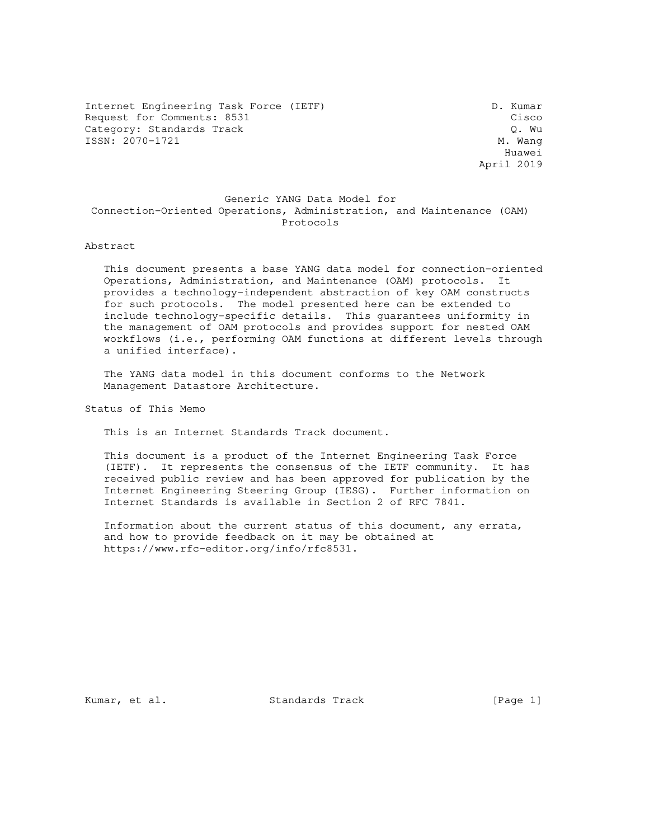Internet Engineering Task Force (IETF) D. Kumar Request for Comments: 8531 Cisco<br>Category: Standards Track Category: Cisco Category: Standards Track Q. Wu<br>
ISSN: 2070-1721 M. Wang ISSN: 2070-1721 M. Wang

 Huawei April 2019

#### Generic YANG Data Model for Connection-Oriented Operations, Administration, and Maintenance (OAM) Protocols

#### Abstract

 This document presents a base YANG data model for connection-oriented Operations, Administration, and Maintenance (OAM) protocols. It provides a technology-independent abstraction of key OAM constructs for such protocols. The model presented here can be extended to include technology-specific details. This guarantees uniformity in the management of OAM protocols and provides support for nested OAM workflows (i.e., performing OAM functions at different levels through a unified interface).

 The YANG data model in this document conforms to the Network Management Datastore Architecture.

Status of This Memo

This is an Internet Standards Track document.

 This document is a product of the Internet Engineering Task Force (IETF). It represents the consensus of the IETF community. It has received public review and has been approved for publication by the Internet Engineering Steering Group (IESG). Further information on Internet Standards is available in Section 2 of RFC 7841.

 Information about the current status of this document, any errata, and how to provide feedback on it may be obtained at https://www.rfc-editor.org/info/rfc8531.

Kumar, et al. Standards Track [Page 1]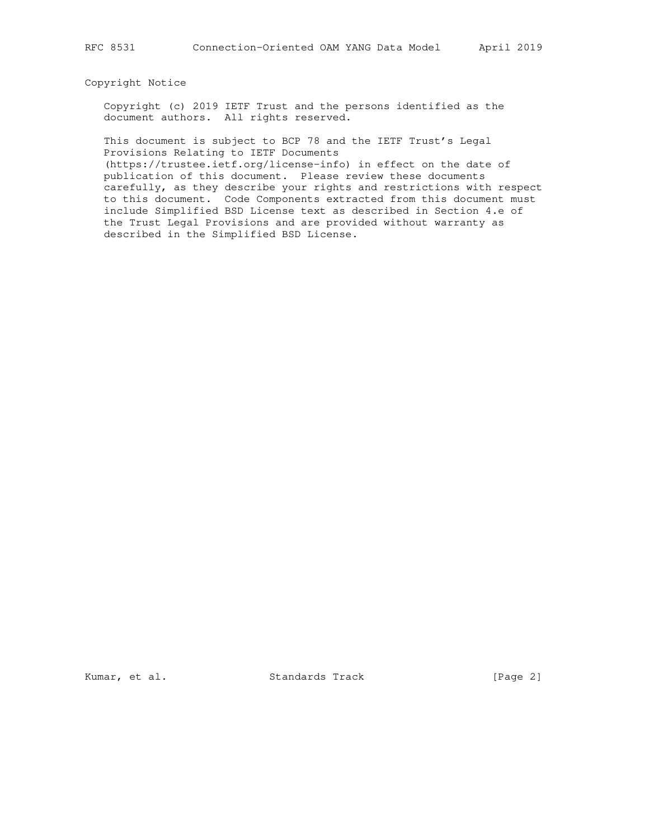Copyright Notice

 Copyright (c) 2019 IETF Trust and the persons identified as the document authors. All rights reserved.

 This document is subject to BCP 78 and the IETF Trust's Legal Provisions Relating to IETF Documents

 (https://trustee.ietf.org/license-info) in effect on the date of publication of this document. Please review these documents carefully, as they describe your rights and restrictions with respect to this document. Code Components extracted from this document must include Simplified BSD License text as described in Section 4.e of the Trust Legal Provisions and are provided without warranty as described in the Simplified BSD License.

Kumar, et al. Standards Track [Page 2]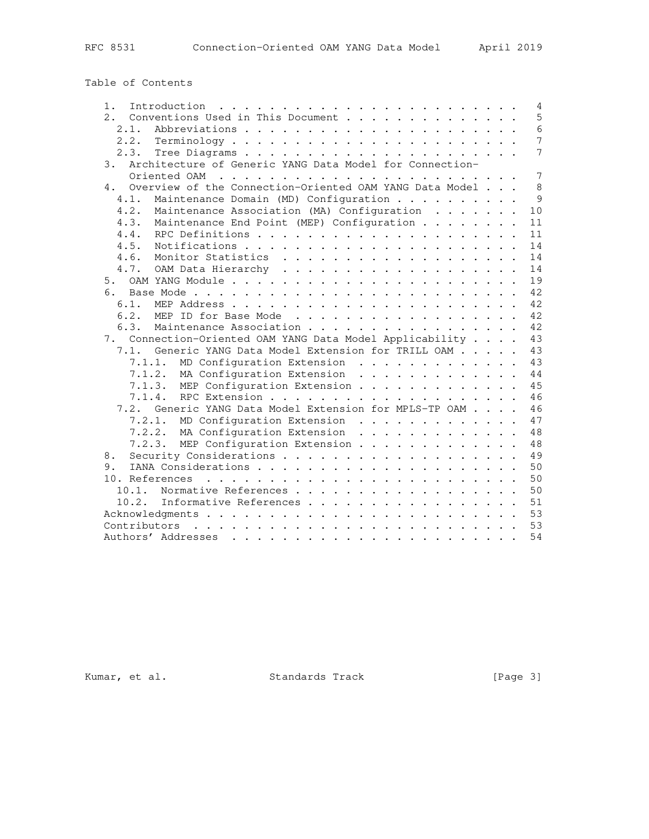Table of Contents

| 1.                                                                   |  | 4              |
|----------------------------------------------------------------------|--|----------------|
| Conventions Used in This Document<br>2.                              |  | 5              |
| 2.1.                                                                 |  | 6              |
|                                                                      |  | 7              |
| 2.3.                                                                 |  | $\overline{7}$ |
| Architecture of Generic YANG Data Model for Connection-<br>3.        |  |                |
|                                                                      |  | $\overline{7}$ |
| Overview of the Connection-Oriented OAM YANG Data Model<br>$4 \quad$ |  | $\mathsf{R}$   |
| Maintenance Domain (MD) Configuration<br>4.1.                        |  | 9              |
| Maintenance Association (MA) Configuration<br>4.2.                   |  | 10             |
| Maintenance End Point (MEP) Configuration<br>4.3.                    |  | 11             |
| 4.4.                                                                 |  | 11             |
| 4.5.                                                                 |  | 14             |
| 4.6. Monitor Statistics                                              |  | 14             |
| 4.7.                                                                 |  | 14             |
| 5.                                                                   |  | 19             |
| 6.                                                                   |  | 42             |
| 6.1.                                                                 |  | 42             |
| 6.2.<br>MEP ID for Base Mode                                         |  | 42             |
| 6.3.<br>Maintenance Association                                      |  | 42             |
| 7. Connection-Oriented OAM YANG Data Model Applicability             |  | 43             |
| Generic YANG Data Model Extension for TRILL OAM<br>7.1.              |  | 43             |
| 7.1.1.                                                               |  | 43             |
| MD Configuration Extension                                           |  | 44             |
| 7.1.2. MA Configuration Extension                                    |  | 45             |
| 7.1.3. MEP Configuration Extension                                   |  | 46             |
| Generic YANG Data Model Extension for MPLS-TP OAM                    |  | 46             |
| 7.2.                                                                 |  |                |
| 7.2.1. MD Configuration Extension                                    |  | 47             |
| 7.2.2. MA Configuration Extension                                    |  | 48             |
| 7.2.3. MEP Configuration Extension                                   |  | 48             |
| 8.                                                                   |  | 49             |
| 9.                                                                   |  | 50             |
|                                                                      |  | 50             |
| 10.1. Normative References                                           |  | 50             |
| Informative References<br>10.2.                                      |  | 51             |
|                                                                      |  | 53             |
|                                                                      |  | 53             |
|                                                                      |  | 54             |

Kumar, et al. Standards Track [Page 3]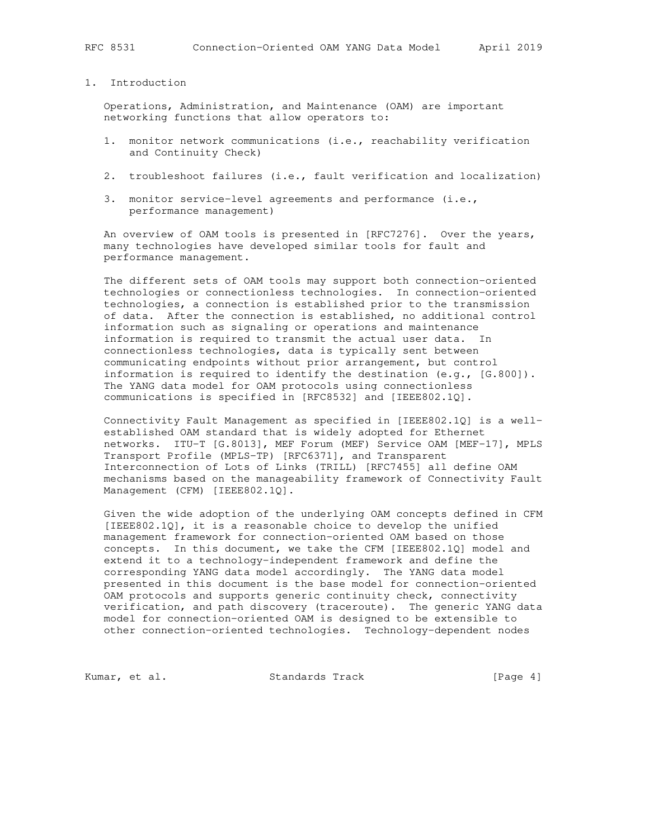### 1. Introduction

 Operations, Administration, and Maintenance (OAM) are important networking functions that allow operators to:

- 1. monitor network communications (i.e., reachability verification and Continuity Check)
- 2. troubleshoot failures (i.e., fault verification and localization)
- 3. monitor service-level agreements and performance (i.e., performance management)

 An overview of OAM tools is presented in [RFC7276]. Over the years, many technologies have developed similar tools for fault and performance management.

 The different sets of OAM tools may support both connection-oriented technologies or connectionless technologies. In connection-oriented technologies, a connection is established prior to the transmission of data. After the connection is established, no additional control information such as signaling or operations and maintenance information is required to transmit the actual user data. In connectionless technologies, data is typically sent between communicating endpoints without prior arrangement, but control information is required to identify the destination  $(e.q., [G.800]).$  The YANG data model for OAM protocols using connectionless communications is specified in [RFC8532] and [IEEE802.1Q].

 Connectivity Fault Management as specified in [IEEE802.1Q] is a well established OAM standard that is widely adopted for Ethernet networks. ITU-T [G.8013], MEF Forum (MEF) Service OAM [MEF-17], MPLS Transport Profile (MPLS-TP) [RFC6371], and Transparent Interconnection of Lots of Links (TRILL) [RFC7455] all define OAM mechanisms based on the manageability framework of Connectivity Fault Management (CFM) [IEEE802.1Q].

 Given the wide adoption of the underlying OAM concepts defined in CFM [IEEE802.1Q], it is a reasonable choice to develop the unified management framework for connection-oriented OAM based on those concepts. In this document, we take the CFM [IEEE802.1Q] model and extend it to a technology-independent framework and define the corresponding YANG data model accordingly. The YANG data model presented in this document is the base model for connection-oriented OAM protocols and supports generic continuity check, connectivity verification, and path discovery (traceroute). The generic YANG data model for connection-oriented OAM is designed to be extensible to other connection-oriented technologies. Technology-dependent nodes

Kumar, et al. Standards Track [Page 4]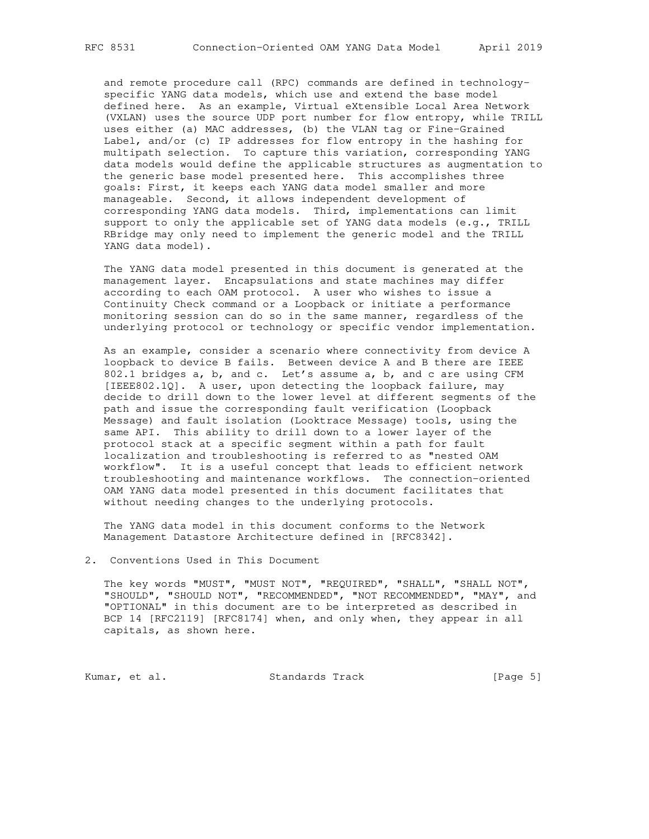and remote procedure call (RPC) commands are defined in technology specific YANG data models, which use and extend the base model defined here. As an example, Virtual eXtensible Local Area Network (VXLAN) uses the source UDP port number for flow entropy, while TRILL uses either (a) MAC addresses, (b) the VLAN tag or Fine-Grained Label, and/or (c) IP addresses for flow entropy in the hashing for multipath selection. To capture this variation, corresponding YANG data models would define the applicable structures as augmentation to the generic base model presented here. This accomplishes three goals: First, it keeps each YANG data model smaller and more manageable. Second, it allows independent development of corresponding YANG data models. Third, implementations can limit support to only the applicable set of YANG data models (e.g., TRILL RBridge may only need to implement the generic model and the TRILL YANG data model).

 The YANG data model presented in this document is generated at the management layer. Encapsulations and state machines may differ according to each OAM protocol. A user who wishes to issue a Continuity Check command or a Loopback or initiate a performance monitoring session can do so in the same manner, regardless of the underlying protocol or technology or specific vendor implementation.

 As an example, consider a scenario where connectivity from device A loopback to device B fails. Between device A and B there are IEEE 802.1 bridges a, b, and c. Let's assume a, b, and c are using CFM [IEEE802.1Q]. A user, upon detecting the loopback failure, may decide to drill down to the lower level at different segments of the path and issue the corresponding fault verification (Loopback Message) and fault isolation (Looktrace Message) tools, using the same API. This ability to drill down to a lower layer of the protocol stack at a specific segment within a path for fault localization and troubleshooting is referred to as "nested OAM workflow". It is a useful concept that leads to efficient network troubleshooting and maintenance workflows. The connection-oriented OAM YANG data model presented in this document facilitates that without needing changes to the underlying protocols.

 The YANG data model in this document conforms to the Network Management Datastore Architecture defined in [RFC8342].

#### 2. Conventions Used in This Document

 The key words "MUST", "MUST NOT", "REQUIRED", "SHALL", "SHALL NOT", "SHOULD", "SHOULD NOT", "RECOMMENDED", "NOT RECOMMENDED", "MAY", and "OPTIONAL" in this document are to be interpreted as described in BCP 14 [RFC2119] [RFC8174] when, and only when, they appear in all capitals, as shown here.

Kumar, et al. Standards Track [Page 5]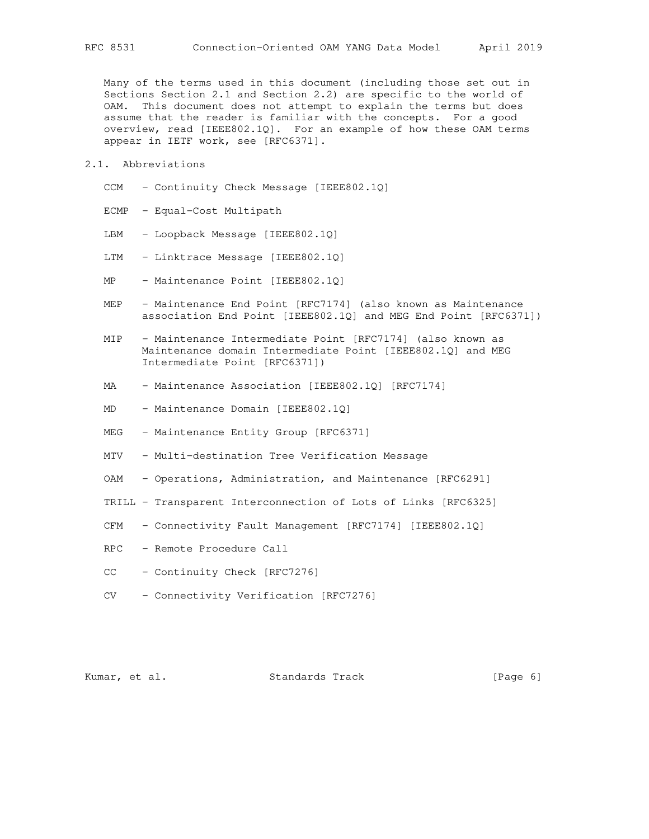Many of the terms used in this document (including those set out in Sections Section 2.1 and Section 2.2) are specific to the world of OAM. This document does not attempt to explain the terms but does assume that the reader is familiar with the concepts. For a good overview, read [IEEE802.1Q]. For an example of how these OAM terms appear in IETF work, see [RFC6371].

- 2.1. Abbreviations
	- CCM Continuity Check Message [IEEE802.1Q]
	- ECMP Equal-Cost Multipath
	- LBM Loopback Message [IEEE802.1Q]
	- LTM Linktrace Message [IEEE802.1Q]
	- MP Maintenance Point [IEEE802.1Q]
	- MEP Maintenance End Point [RFC7174] (also known as Maintenance association End Point [IEEE802.1Q] and MEG End Point [RFC6371])
	- MIP Maintenance Intermediate Point [RFC7174] (also known as Maintenance domain Intermediate Point [IEEE802.1Q] and MEG Intermediate Point [RFC6371])
	- MA Maintenance Association [IEEE802.1Q] [RFC7174]
	- MD Maintenance Domain [IEEE802.1Q]
	- MEG Maintenance Entity Group [RFC6371]
	- MTV Multi-destination Tree Verification Message
	- OAM Operations, Administration, and Maintenance [RFC6291]
	- TRILL Transparent Interconnection of Lots of Links [RFC6325]
	- CFM Connectivity Fault Management [RFC7174] [IEEE802.1Q]
	- RPC Remote Procedure Call
	- CC Continuity Check [RFC7276]
	- CV Connectivity Verification [RFC7276]

Kumar, et al. Standards Track [Page 6]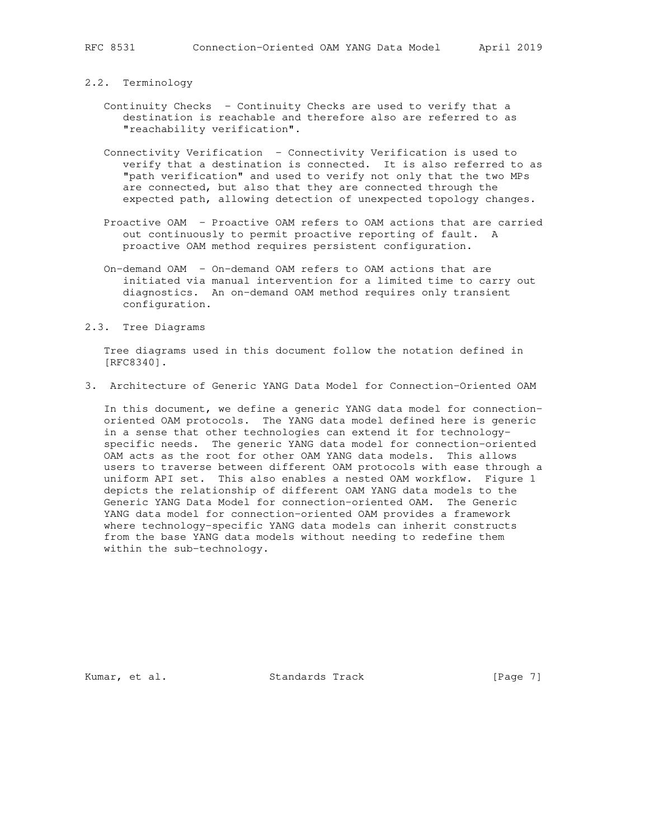2.2. Terminology

- Continuity Checks Continuity Checks are used to verify that a destination is reachable and therefore also are referred to as "reachability verification".
- Connectivity Verification Connectivity Verification is used to verify that a destination is connected. It is also referred to as "path verification" and used to verify not only that the two MPs are connected, but also that they are connected through the expected path, allowing detection of unexpected topology changes.
- Proactive OAM Proactive OAM refers to OAM actions that are carried out continuously to permit proactive reporting of fault. A proactive OAM method requires persistent configuration.
- On-demand OAM On-demand OAM refers to OAM actions that are initiated via manual intervention for a limited time to carry out diagnostics. An on-demand OAM method requires only transient configuration.

#### 2.3. Tree Diagrams

 Tree diagrams used in this document follow the notation defined in [RFC8340].

3. Architecture of Generic YANG Data Model for Connection-Oriented OAM

 In this document, we define a generic YANG data model for connection oriented OAM protocols. The YANG data model defined here is generic in a sense that other technologies can extend it for technology specific needs. The generic YANG data model for connection-oriented OAM acts as the root for other OAM YANG data models. This allows users to traverse between different OAM protocols with ease through a uniform API set. This also enables a nested OAM workflow. Figure 1 depicts the relationship of different OAM YANG data models to the Generic YANG Data Model for connection-oriented OAM. The Generic YANG data model for connection-oriented OAM provides a framework where technology-specific YANG data models can inherit constructs from the base YANG data models without needing to redefine them within the sub-technology.

Kumar, et al. Standards Track [Page 7]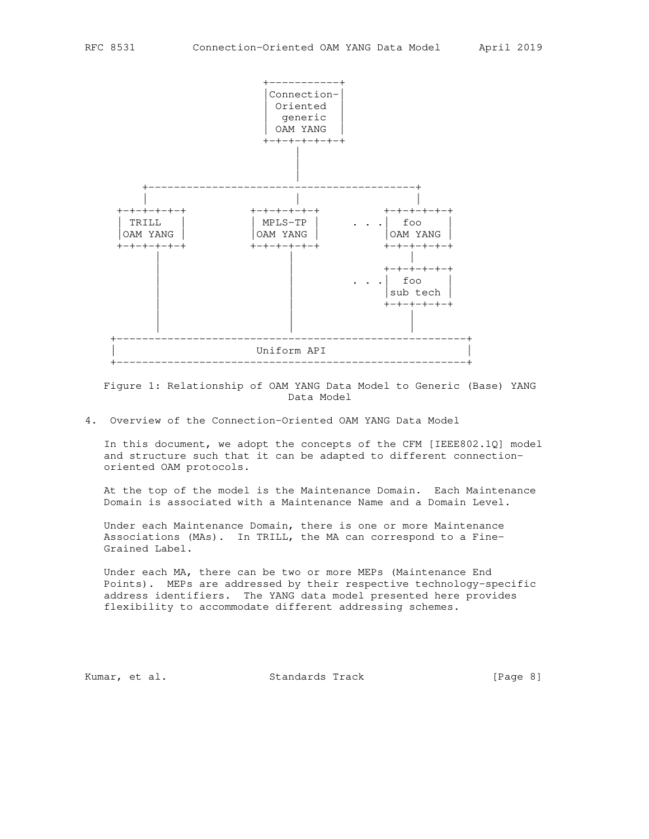

 Figure 1: Relationship of OAM YANG Data Model to Generic (Base) YANG Data Model

4. Overview of the Connection-Oriented OAM YANG Data Model

 In this document, we adopt the concepts of the CFM [IEEE802.1Q] model and structure such that it can be adapted to different connection oriented OAM protocols.

 At the top of the model is the Maintenance Domain. Each Maintenance Domain is associated with a Maintenance Name and a Domain Level.

 Under each Maintenance Domain, there is one or more Maintenance Associations (MAs). In TRILL, the MA can correspond to a Fine- Grained Label.

 Under each MA, there can be two or more MEPs (Maintenance End Points). MEPs are addressed by their respective technology-specific address identifiers. The YANG data model presented here provides flexibility to accommodate different addressing schemes.

Kumar, et al. Standards Track [Page 8]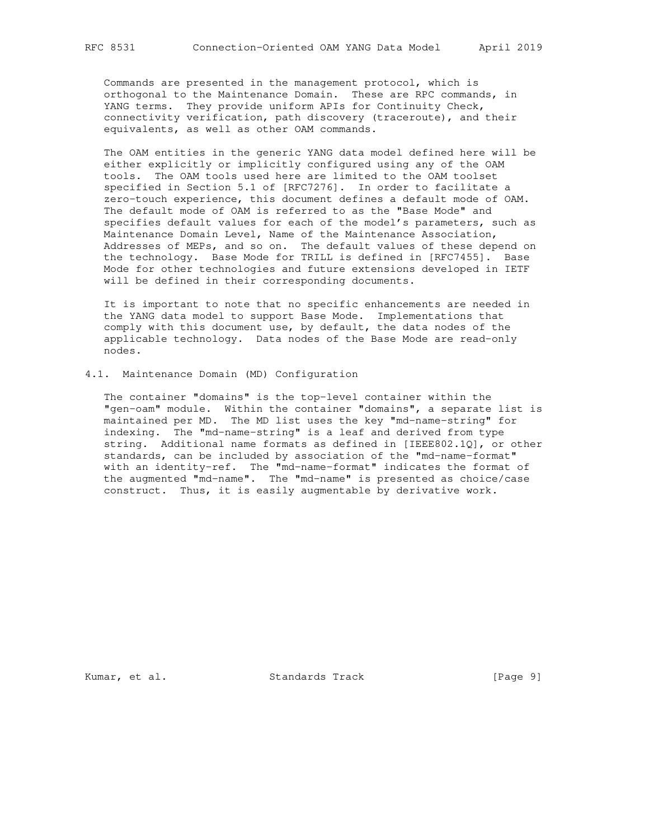Commands are presented in the management protocol, which is orthogonal to the Maintenance Domain. These are RPC commands, in YANG terms. They provide uniform APIs for Continuity Check, connectivity verification, path discovery (traceroute), and their equivalents, as well as other OAM commands.

 The OAM entities in the generic YANG data model defined here will be either explicitly or implicitly configured using any of the OAM tools. The OAM tools used here are limited to the OAM toolset specified in Section 5.1 of [RFC7276]. In order to facilitate a zero-touch experience, this document defines a default mode of OAM. The default mode of OAM is referred to as the "Base Mode" and specifies default values for each of the model's parameters, such as Maintenance Domain Level, Name of the Maintenance Association, Addresses of MEPs, and so on. The default values of these depend on the technology. Base Mode for TRILL is defined in [RFC7455]. Base Mode for other technologies and future extensions developed in IETF will be defined in their corresponding documents.

 It is important to note that no specific enhancements are needed in the YANG data model to support Base Mode. Implementations that comply with this document use, by default, the data nodes of the applicable technology. Data nodes of the Base Mode are read-only nodes.

4.1. Maintenance Domain (MD) Configuration

 The container "domains" is the top-level container within the "gen-oam" module. Within the container "domains", a separate list is maintained per MD. The MD list uses the key "md-name-string" for indexing. The "md-name-string" is a leaf and derived from type string. Additional name formats as defined in [IEEE802.1Q], or other standards, can be included by association of the "md-name-format" with an identity-ref. The "md-name-format" indicates the format of the augmented "md-name". The "md-name" is presented as choice/case construct. Thus, it is easily augmentable by derivative work.

Kumar, et al. Standards Track [Page 9]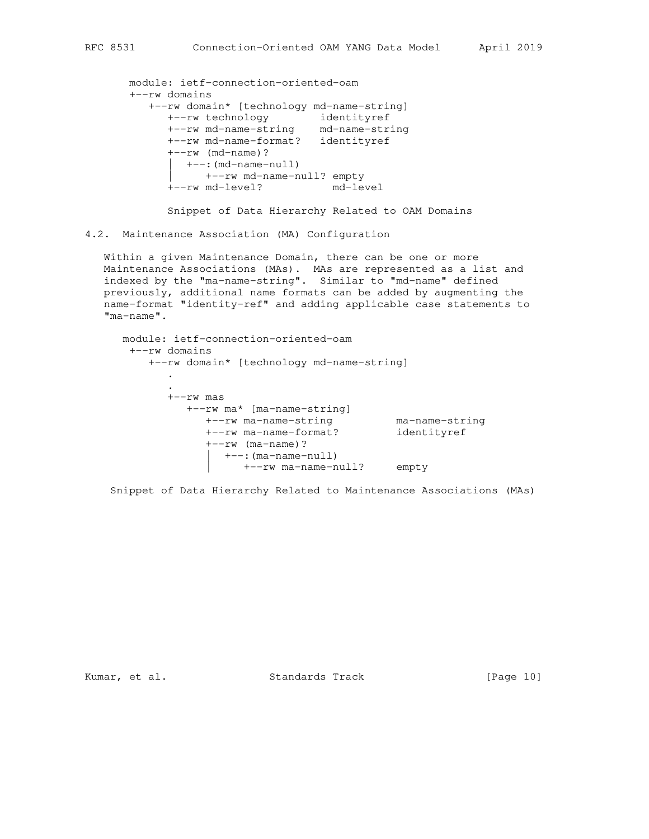module: ietf-connection-oriented-oam +--rw domains +--rw domain\* [technology md-name-string] +--rw technology identityref +--rw md-name-string md-name-string +--rw md-name-format? identityref  $+--rw$  (md-name)? | +--:(md-name-null) | +--rw md-name-null? empty +--rw md-level? md-level

Snippet of Data Hierarchy Related to OAM Domains

4.2. Maintenance Association (MA) Configuration

 Within a given Maintenance Domain, there can be one or more Maintenance Associations (MAs). MAs are represented as a list and indexed by the "ma-name-string". Similar to "md-name" defined previously, additional name formats can be added by augmenting the name-format "identity-ref" and adding applicable case statements to "ma-name".

 module: ietf-connection-oriented-oam +--rw domains +--rw domain\* [technology md-name-string] . . +--rw mas +--rw ma\* [ma-name-string] +--rw ma-name-string ma-name-string +--rw ma-name-format? identityref  $+--rw$  (ma-name)? | +--:(ma-name-null) | +--rw ma-name-null? empty

Snippet of Data Hierarchy Related to Maintenance Associations (MAs)

Kumar, et al. Standards Track [Page 10]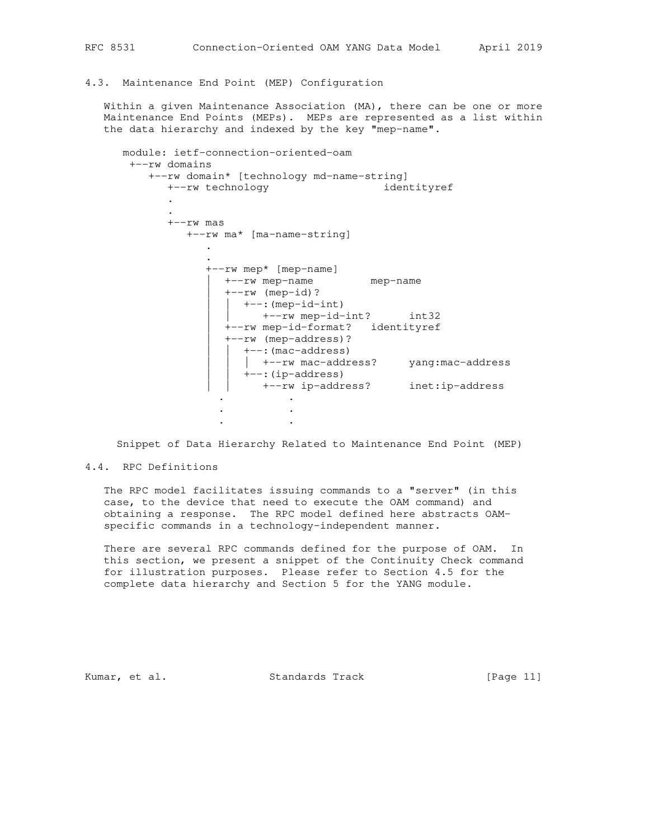## 4.3. Maintenance End Point (MEP) Configuration

Within a given Maintenance Association (MA), there can be one or more Maintenance End Points (MEPs). MEPs are represented as a list within the data hierarchy and indexed by the key "mep-name".

```
 module: ietf-connection-oriented-oam
     +--rw domains
        +--rw domain* [technology md-name-string]
          +--rw technology identityref
 .
 .
          +--rw mas
            +--rw ma* [ma-name-string]
 .
 .
               +--rw mep* [mep-name]
               +--rw mep-name mep-name
                 | +--rw (mep-id)?
                  | | +--:(mep-id-int)
                    | | +--rw mep-id-int? int32
                | +--rw mep-id-format? identityref
                | +--rw (mep-address)?
                  | | +--:(mac-address)
                   | | | +--rw mac-address? yang:mac-address
                  +--: (ip-address)
                   | | +--rw ip-address? inet:ip-address
 . .
 . .
 . .
```
Snippet of Data Hierarchy Related to Maintenance End Point (MEP)

#### 4.4. RPC Definitions

 The RPC model facilitates issuing commands to a "server" (in this case, to the device that need to execute the OAM command) and obtaining a response. The RPC model defined here abstracts OAM specific commands in a technology-independent manner.

 There are several RPC commands defined for the purpose of OAM. In this section, we present a snippet of the Continuity Check command for illustration purposes. Please refer to Section 4.5 for the complete data hierarchy and Section 5 for the YANG module.

Kumar, et al. Standards Track [Page 11]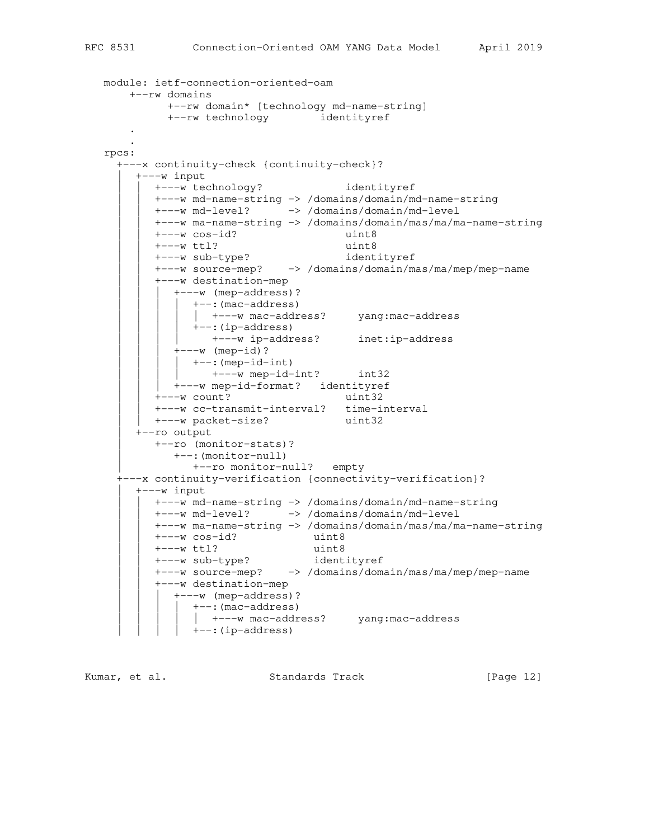```
 module: ietf-connection-oriented-oam
       +--rw domains
            +--rw domain* [technology md-name-string]
            +--rw technology identityref
 .
 .
   rpcs:
     +---x continuity-check {continuity-check}?
       | +---w input
         +---w technology? identityref
          | | +---w md-name-string -> /domains/domain/md-name-string
          | | +---w md-level? -> /domains/domain/md-level
          | | +---w ma-name-string -> /domains/domain/mas/ma/ma-name-string
           | | +---w cos-id? uint8
 | | +---w ttl? uint8
 | | +---w sub-type? identityref
 | | +---w source-mep? -> /domains/domain/mas/ma/mep/mep-name
           | | +---w destination-mep
            +---w (mep-address)?
                | | | | +--:(mac-address)
               | | | | | +---w mac-address? yang:mac-address
               +--:(ip-address)
                 | | | | +---w ip-address? inet:ip-address
            +---w (mep-id)?
               +--: (mep-id-int)
                  | | | | +---w mep-id-int? int32
             | | | +---w mep-id-format? identityref
          | | +---w count? uint32
           | | +---w cc-transmit-interval? time-interval
           | | +---w packet-size? uint32
        | +--ro output
           | +--ro (monitor-stats)?
             | +--:(monitor-null)
                | +--ro monitor-null? empty
     +---x continuity-verification {connectivity-verification}?
        | +---w input
          | | +---w md-name-string -> /domains/domain/md-name-string
           | | +---w md-level? -> /domains/domain/md-level
           | | +---w ma-name-string -> /domains/domain/mas/ma/ma-name-string
          | | +---w cos-id? uint8
 | | +---w ttl? uint8
 | | +---w sub-type? identityref
 | | +---w source-mep? -> /domains/domain/mas/ma/mep/mep-name
           | | +---w destination-mep
            | | | +---w (mep-address)?
              | | | | +--:(mac-address)
                | | | | | +---w mac-address? yang:mac-address
              +--: (ip-address)
```
Kumar, et al. Standards Track [Page 12]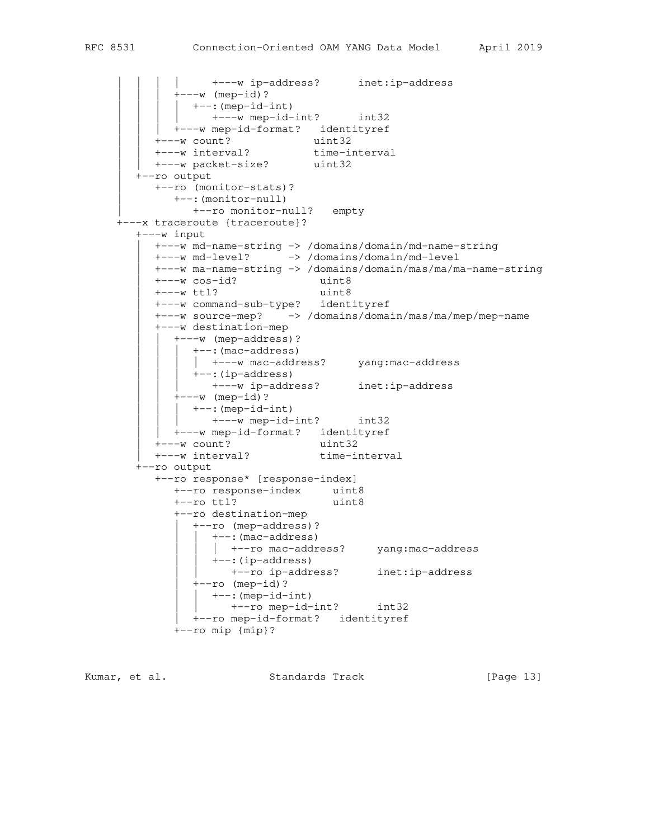```
 | | | | +---w ip-address? inet:ip-address
            +---w (mep-id)?
 | | | | +--:(mep-id-int)
 | | | | +---w mep-id-int? int32
 | | | +---w mep-id-format? identityref
 | | +---w count? uint32
 | | +---w interval? time-interval
 | | +---w packet-size? uint32
       | +--ro output
          | +--ro (monitor-stats)?
            | +--:(monitor-null)
              | +--ro monitor-null? empty
     +---x traceroute {traceroute}?
       +---w input
         | +---w md-name-string -> /domains/domain/md-name-string
          | +---w md-level? -> /domains/domain/md-level
          | +---w ma-name-string -> /domains/domain/mas/ma/ma-name-string
 | +---w cos-id? uint8
 | +---w ttl? uint8
          | +---w command-sub-type? identityref
          | +---w source-mep? -> /domains/domain/mas/ma/mep/mep-name
          | +---w destination-mep
            | | +---w (mep-address)?
              | | | +--:(mac-address)
               | | | | +---w mac-address? yang:mac-address
              +--:(ip-address)
                | | | +---w ip-address? inet:ip-address
           +---w (mep-id)?
             | | | +--:(mep-id-int)
              +--w mep-id-int? int32
         | +--w mep-id-format? identityref
 | +---w count? uint32
 | +---w interval? time-interval
        +--ro output
          +--ro response* [response-index]
            +--ro response-index uint8
             +--ro ttl? uint8
             +--ro destination-mep
               | +--ro (mep-address)?
                  | | +--:(mac-address)
                | +--ro mac-address? yang:mac-address
                 | | +--:(ip-address)
                   | | +--ro ip-address? inet:ip-address
              +--ro (mep-id)?
 | | +--:(mep-id-int)
 | | +--ro mep-id-int? int32
               | +--ro mep-id-format? identityref
             +--ro mip {mip}?
```
Kumar, et al. Standards Track [Page 13]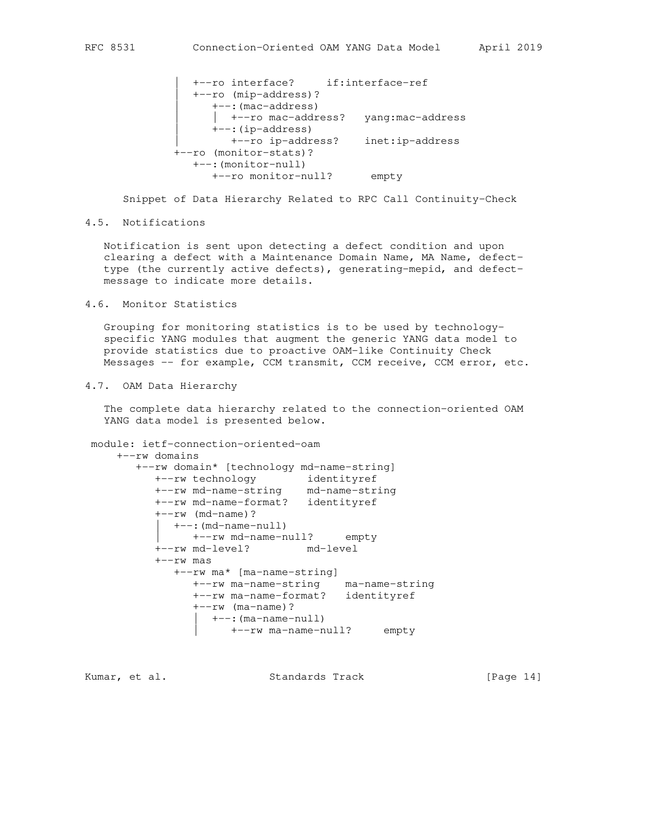```
 | +--ro interface? if:interface-ref
    | +--ro (mip-address)?
      | +--:(mac-address)
       | | +--ro mac-address? yang:mac-address
      | +--:(ip-address)
         | +--ro ip-address? inet:ip-address
 +--ro (monitor-stats)?
    +--:(monitor-null)
       +--ro monitor-null? empty
```
Snippet of Data Hierarchy Related to RPC Call Continuity-Check

## 4.5. Notifications

 Notification is sent upon detecting a defect condition and upon clearing a defect with a Maintenance Domain Name, MA Name, defect type (the currently active defects), generating-mepid, and defect message to indicate more details.

4.6. Monitor Statistics

 Grouping for monitoring statistics is to be used by technology specific YANG modules that augment the generic YANG data model to provide statistics due to proactive OAM-like Continuity Check Messages -- for example, CCM transmit, CCM receive, CCM error, etc.

4.7. OAM Data Hierarchy

 The complete data hierarchy related to the connection-oriented OAM YANG data model is presented below.

```
 module: ietf-connection-oriented-oam
     +--rw domains
```

```
 +--rw domain* [technology md-name-string]
 +--rw technology identityref
 +--rw md-name-string md-name-string
          +--rw md-name-format? identityref
          +--rw (md-name)?
            | +--:(md-name-null)
               | +--rw md-name-null? empty
           +--rw md-level? md-level
          +--rw mas
             +--rw ma* [ma-name-string]
                +--rw ma-name-string ma-name-string
                +--rw ma-name-format? identityref
               +--rw (ma-name)?
                  | +--:(ma-name-null)
                     | +--rw ma-name-null? empty
```
Kumar, et al. Standards Track [Page 14]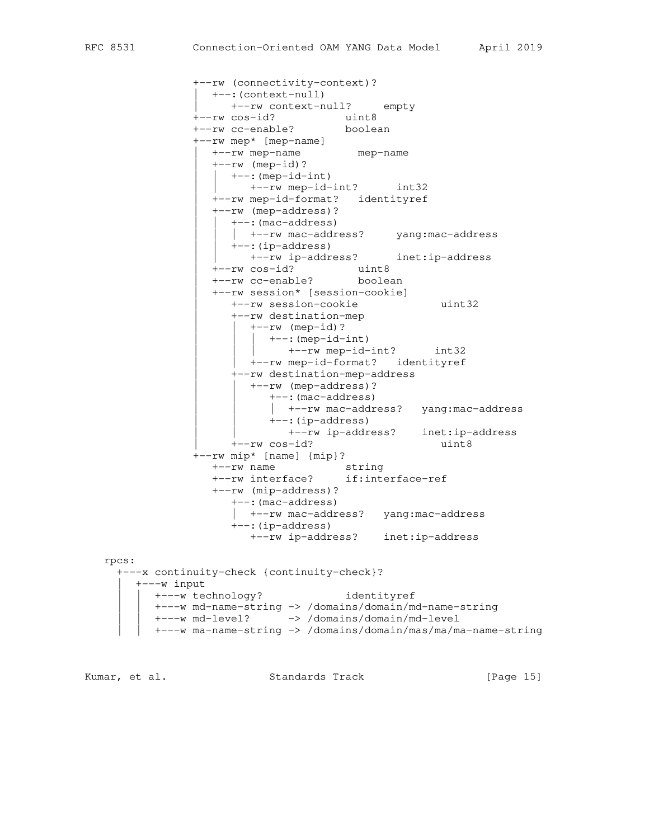```
 +--rw (connectivity-context)?
                 | +--:(context-null)
                  | +--rw context-null? empty
 +--rw cos-id? uint8
 +--rw cc-enable? boolean
 +--rw mep* [mep-name]
 | +--rw mep-name mep-name
                  | +--rw (mep-id)?
                   | | +--:(mep-id-int)
                      | | +--rw mep-id-int? int32
                  | +--rw mep-id-format? identityref
                  | +--rw (mep-address)?
                    | | +--:(mac-address)
                    | +-rw mac-address? yang: mac-address
                    | | +--:(ip-address)
                      | | +--rw ip-address? inet:ip-address
 | +--rw cos-id? uint8
 | +--rw cc-enable? boolean
                  | +--rw session* [session-cookie]
                    | +--rw session-cookie uint32
                     | +--rw destination-mep
                      +--rw (mep-id)?
                        | | | +--:(mep-id-int)
                           | | | +--rw mep-id-int? int32
                       | | +--rw mep-id-format? identityref
                     | +--rw destination-mep-address
                       | | +--rw (mep-address)?
                          | | +--:(mac-address)
                         | +--rw mac-address? yang: mac-address
                         | | +--:(ip-address)
                          | | +--rw ip-address? inet:ip-address
                    | +--rw cos-id? uint8
               +--rw mip* [name] {mip}?
 +--rw name string
 +--rw interface? if:interface-ref
                  +--rw (mip-address)?
                     +--:(mac-address)
                     | +--rw mac-address? yang:mac-address
                     +--:(ip-address)
                       +--rw ip-address? inet:ip-address
   rpcs:
     +---x continuity-check {continuity-check}?
       | +---w input
        +---w technology? identityref
         | | +---w md-name-string -> /domains/domain/md-name-string
         | | +---w md-level? -> /domains/domain/md-level
         | | +---w ma-name-string -> /domains/domain/mas/ma/ma-name-string
```
Kumar, et al. Standards Track [Page 15]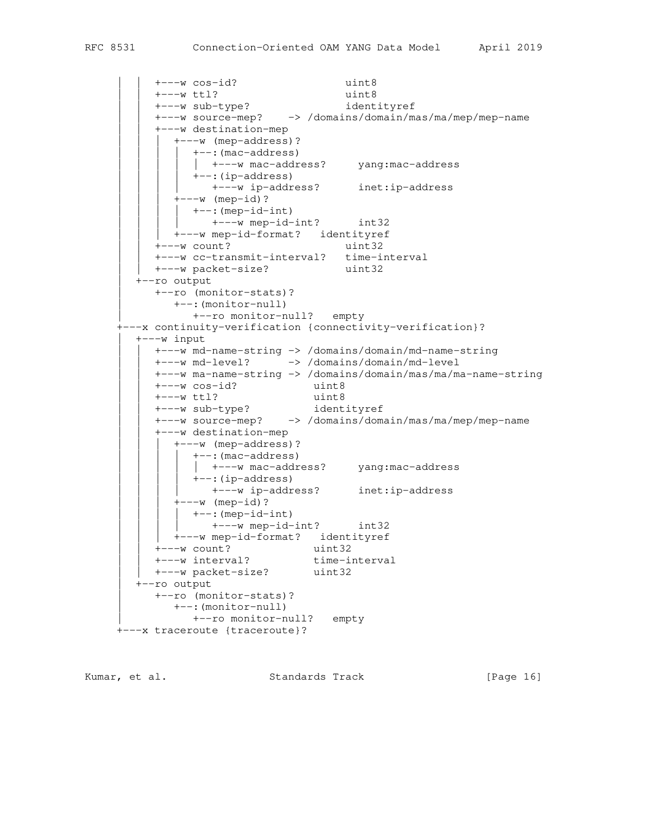```
 | | +---w cos-id? uint8
          | | +---w ttl? uint8
 | | +---w sub-type? identityref
 | | +---w source-mep? -> /domains/domain/mas/ma/mep/mep-name
          | | +---w destination-mep
             | | | +---w (mep-address)?
              | | | | +--:(mac-address)
              | +---w mac-address? yang:mac-address
               | | | | +--:(ip-address)
                 | | | | +---w ip-address? inet:ip-address
            +---w (mep-id)?
              +--: (mep-id-int)
                 +--w mep-id-int? int32
          | +---w mep-id-format? identityref
           | | +---w count? uint32
          | | +---w cc-transmit-interval? time-interval
         +---w packet-size?
        | +--ro output
          | +--ro (monitor-stats)?
             | +--:(monitor-null)
                | +--ro monitor-null? empty
     +---x continuity-verification {connectivity-verification}?
        | +---w input
          | | +---w md-name-string -> /domains/domain/md-name-string
          | | +---w md-level? -> /domains/domain/md-level
           | | +---w ma-name-string -> /domains/domain/mas/ma/ma-name-string
          | | +---w cos-id? uint8
 | | +---w ttl? uint8
 | | +---w sub-type? identityref
 | | +---w source-mep? -> /domains/domain/mas/ma/mep/mep-name
          | | +---w destination-mep
            | | | +---w (mep-address)?
             +--: (mac-address)
              |  +---w mac-address? yang:mac-address
               +--:(ip-address)
                  | | | | +---w ip-address? inet:ip-address
            +---w (mep-id)?
             | +--: (mep-id-int)<br>+----- r mem \cdot | | | | +---w mep-id-int? int32
            | | | +---w mep-id-format? identityref
 | | +---w count? uint32
 | | +---w interval? time-interval
 | | +---w packet-size? uint32
        | +--ro output
           | +--ro (monitor-stats)?
             | +--:(monitor-null)
               | +--ro monitor-null? empty
     +---x traceroute {traceroute}?
```
Kumar, et al. Standards Track [Page 16]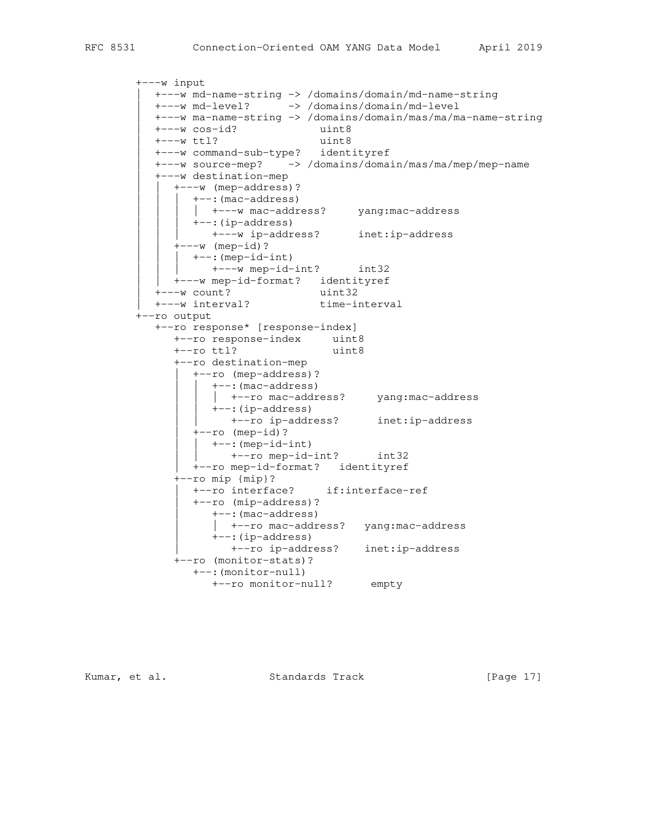```
 +---w input
 | +---w md-name-string -> /domains/domain/md-name-string
 | +---w md-level? -> /domains/domain/md-level
          | +---w ma-name-string -> /domains/domain/mas/ma/ma-name-string
 | +---w cos-id? uint8
 | +---w ttl? uint8
          | +---w command-sub-type? identityref
          | +---w source-mep? -> /domains/domain/mas/ma/mep/mep-name
           | +---w destination-mep
            | | +---w (mep-address)?
              | | | +--:(mac-address)
                | | | | +---w mac-address? yang:mac-address
              +--: (ip-address)
                  | | | +---w ip-address? inet:ip-address
            +---w (mep-id)?
              +--: (mep-id-int)
                 | | | +---w mep-id-int? int32
            | | +---w mep-id-format? identityref
 | +---w count? uint32
 | +---w interval? time-interval
        +--ro output
           +--ro response* [response-index]
             +--ro response-index uint8
             +--ro ttl? uint8
             +--ro destination-mep
                | +--ro (mep-address)?
                  | | +--:(mac-address)
                   | | | +--ro mac-address? yang:mac-address
                  | | +--:(ip-address)
                    | | +--ro ip-address? inet:ip-address
               +--ro (mep-id)?
                | | +--:(mep-id-int)
                   +--ro mep-id-int? int32
                | +--ro mep-id-format? identityref
              +--ro mip {mip}?
                | +--ro interface? if:interface-ref
                | +--ro (mip-address)?
                   | +--:(mac-address)
                   | | +--ro mac-address? yang:mac-address
                  | +--:(ip-address)
                     | +--ro ip-address? inet:ip-address
             +--ro (monitor-stats)?
                +--:(monitor-null)
                   +--ro monitor-null? empty
```
Kumar, et al. Standards Track [Page 17]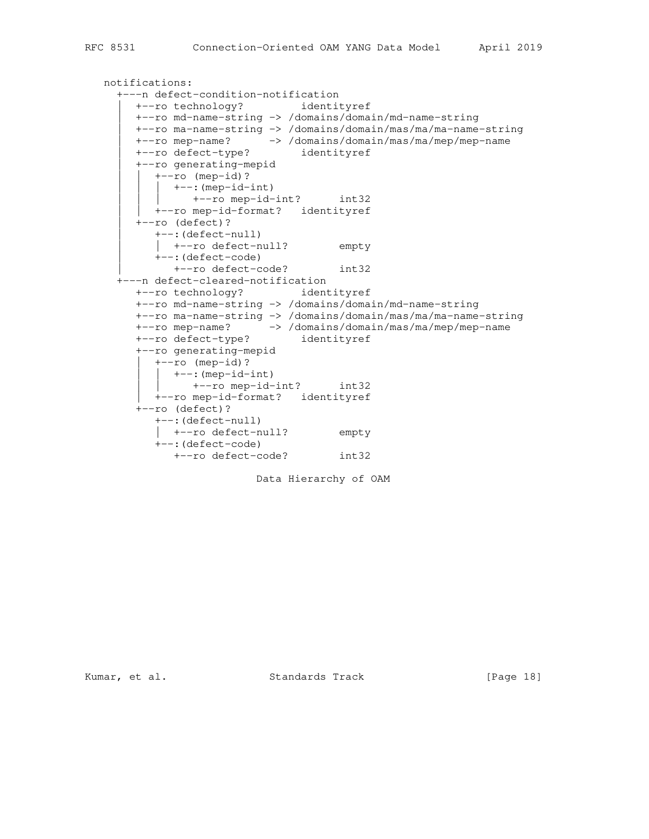```
 notifications:
     +---n defect-condition-notification
        | +--ro technology? identityref
       | +--ro md-name-string -> /domains/domain/md-name-string
       | +--ro ma-name-string -> /domains/domain/mas/ma/ma-name-string
 | +--ro mep-name? -> /domains/domain/mas/ma/mep/mep-name
 | +--ro defect-type? identityref
       | +--ro generating-mepid
         +--ro (mep-id)?
          | +--: (mep-id-int)
             | | | +--ro mep-id-int? int32
         | | +--ro mep-id-format? identityref
       | +--ro (defect)?
 | +--:(defect-null)
 | | +--ro defect-null? empty
          | +--:(defect-code)
            | +--ro defect-code? int32
     +---n defect-cleared-notification
       +--ro technology? identityref
       +--ro md-name-string -> /domains/domain/md-name-string
       +--ro ma-name-string -> /domains/domain/mas/ma/ma-name-string
 +--ro mep-name? -> /domains/domain/mas/ma/mep/mep-name
 +--ro defect-type? identityref
        +--ro generating-mepid
         +--ro (mep-id)?
| | +--: (mep-id-int)
 | | +--ro mep-id-int? int32
         | +--ro mep-id-format? identityref
        +--ro (defect)?
          +--:(defect-null)
           | +--ro defect-null? empty
          +--:(defect-code)
            +--ro defect-code? int32
```
Data Hierarchy of OAM

Kumar, et al. Standards Track [Page 18]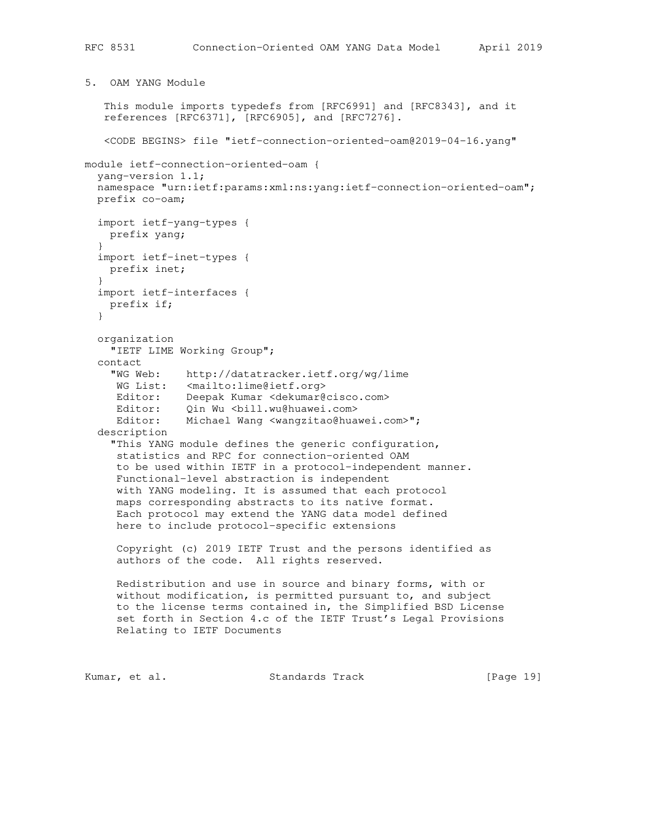5. OAM YANG Module

```
 This module imports typedefs from [RFC6991] and [RFC8343], and it
    references [RFC6371], [RFC6905], and [RFC7276].
    <CODE BEGINS> file "ietf-connection-oriented-oam@2019-04-16.yang"
module ietf-connection-oriented-oam {
   yang-version 1.1;
   namespace "urn:ietf:params:xml:ns:yang:ietf-connection-oriented-oam";
  prefix co-oam;
   import ietf-yang-types {
    prefix yang;
 }
   import ietf-inet-types {
    prefix inet;
   }
   import ietf-interfaces {
    prefix if;
   }
   organization
     "IETF LIME Working Group";
   contact
 "WG Web: http://datatracker.ietf.org/wg/lime
WG List: <mailto:lime@ietf.org>
    Editor: Deepak Kumar <dekumar@cisco.com>
Editor: Qin Wu <bill.wu@huawei.com>
 Editor: Michael Wang <wangzitao@huawei.com>";
   description
     "This YANG module defines the generic configuration,
     statistics and RPC for connection-oriented OAM
     to be used within IETF in a protocol-independent manner.
     Functional-level abstraction is independent
     with YANG modeling. It is assumed that each protocol
     maps corresponding abstracts to its native format.
      Each protocol may extend the YANG data model defined
      here to include protocol-specific extensions
      Copyright (c) 2019 IETF Trust and the persons identified as
      authors of the code. All rights reserved.
     Redistribution and use in source and binary forms, with or
     without modification, is permitted pursuant to, and subject
      to the license terms contained in, the Simplified BSD License
      set forth in Section 4.c of the IETF Trust's Legal Provisions
     Relating to IETF Documents
Kumar, et al.                   Standards Track                 [Page 19]
```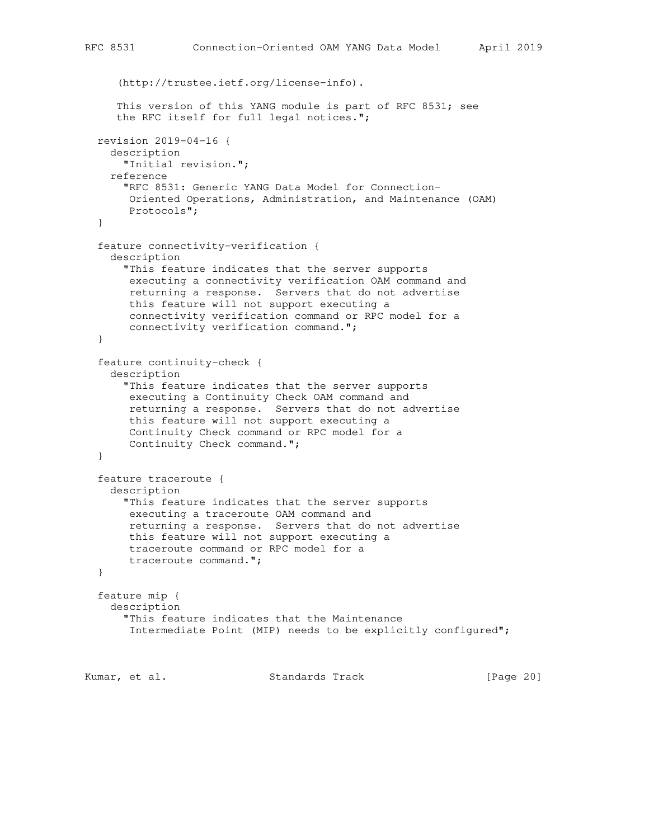```
 (http://trustee.ietf.org/license-info).
     This version of this YANG module is part of RFC 8531; see
      the RFC itself for full legal notices.";
   revision 2019-04-16 {
    description
      "Initial revision.";
     reference
       "RFC 8531: Generic YANG Data Model for Connection-
       Oriented Operations, Administration, and Maintenance (OAM)
       Protocols";
   }
   feature connectivity-verification {
    description
      "This feature indicates that the server supports
       executing a connectivity verification OAM command and
       returning a response. Servers that do not advertise
       this feature will not support executing a
       connectivity verification command or RPC model for a
       connectivity verification command.";
   }
   feature continuity-check {
     description
       "This feature indicates that the server supports
       executing a Continuity Check OAM command and
       returning a response. Servers that do not advertise
       this feature will not support executing a
       Continuity Check command or RPC model for a
       Continuity Check command.";
   }
   feature traceroute {
    description
       "This feature indicates that the server supports
       executing a traceroute OAM command and
       returning a response. Servers that do not advertise
       this feature will not support executing a
       traceroute command or RPC model for a
       traceroute command.";
   }
   feature mip {
    description
       "This feature indicates that the Maintenance
       Intermediate Point (MIP) needs to be explicitly configured";
Kumar, et al. Standards Track [Page 20]
```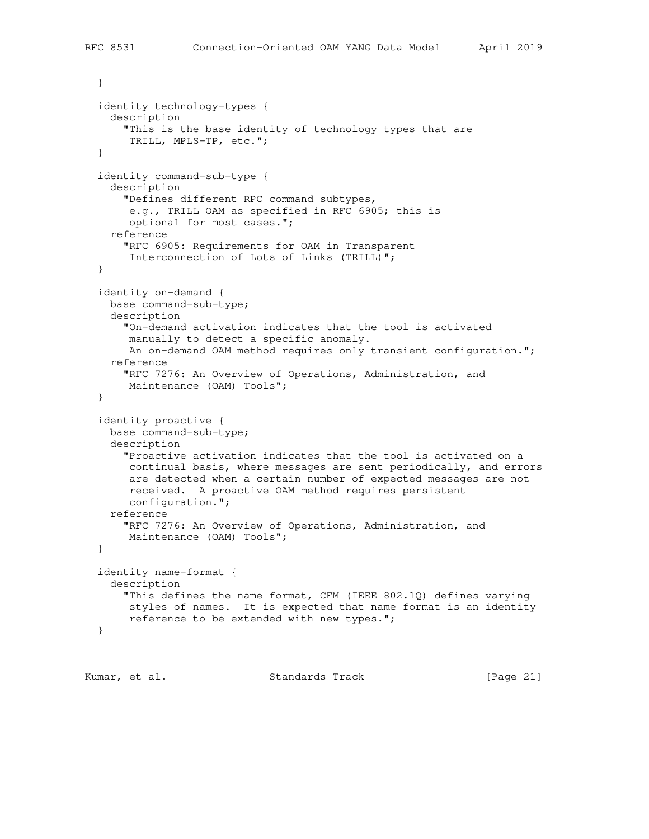```
 }
 identity technology-types {
   description
     "This is the base identity of technology types that are
     TRILL, MPLS-TP, etc.";
 }
 identity command-sub-type {
  description
     "Defines different RPC command subtypes,
     e.g., TRILL OAM as specified in RFC 6905; this is
     optional for most cases.";
   reference
     "RFC 6905: Requirements for OAM in Transparent
     Interconnection of Lots of Links (TRILL)";
 }
 identity on-demand {
  base command-sub-type;
  description
     "On-demand activation indicates that the tool is activated
     manually to detect a specific anomaly.
     An on-demand OAM method requires only transient configuration.";
   reference
     "RFC 7276: An Overview of Operations, Administration, and
     Maintenance (OAM) Tools";
 }
 identity proactive {
  base command-sub-type;
   description
     "Proactive activation indicates that the tool is activated on a
     continual basis, where messages are sent periodically, and errors
     are detected when a certain number of expected messages are not
     received. A proactive OAM method requires persistent
     configuration.";
   reference
     "RFC 7276: An Overview of Operations, Administration, and
     Maintenance (OAM) Tools";
 }
 identity name-format {
  description
     "This defines the name format, CFM (IEEE 802.1Q) defines varying
     styles of names. It is expected that name format is an identity
    reference to be extended with new types.";
 }
```
Kumar, et al. Standards Track [Page 21]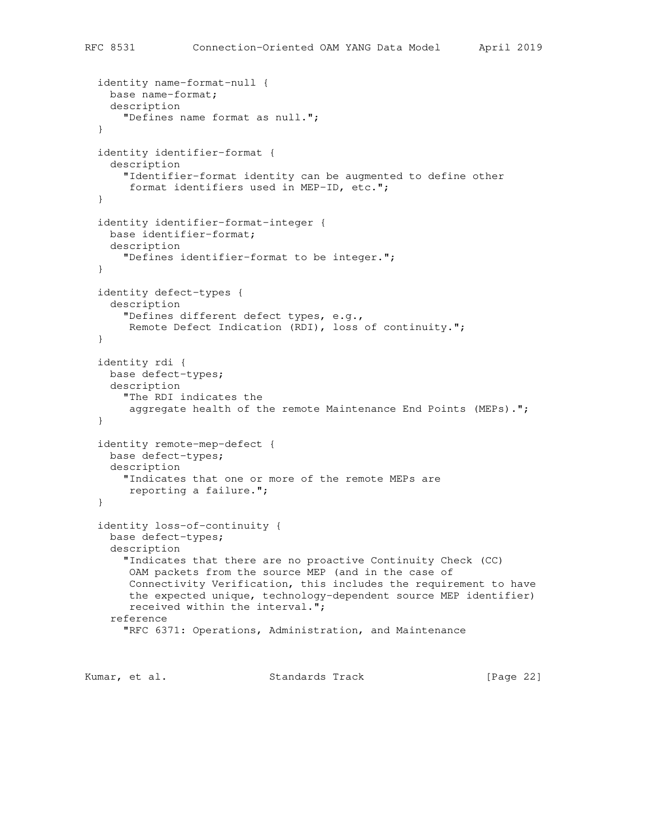```
 identity name-format-null {
  base name-format;
  description
     "Defines name format as null.";
 }
 identity identifier-format {
  description
     "Identifier-format identity can be augmented to define other
     format identifiers used in MEP-ID, etc.";
 }
 identity identifier-format-integer {
  base identifier-format;
  description
    "Defines identifier-format to be integer.";
 }
 identity defect-types {
  description
     "Defines different defect types, e.g.,
     Remote Defect Indication (RDI), loss of continuity.";
 }
 identity rdi {
  base defect-types;
  description
     "The RDI indicates the
      aggregate health of the remote Maintenance End Points (MEPs).";
 }
 identity remote-mep-defect {
  base defect-types;
  description
     "Indicates that one or more of the remote MEPs are
     reporting a failure.";
 }
 identity loss-of-continuity {
  base defect-types;
  description
     "Indicates that there are no proactive Continuity Check (CC)
      OAM packets from the source MEP (and in the case of
      Connectivity Verification, this includes the requirement to have
      the expected unique, technology-dependent source MEP identifier)
      received within the interval.";
   reference
     "RFC 6371: Operations, Administration, and Maintenance
```
Kumar, et al. Standards Track [Page 22]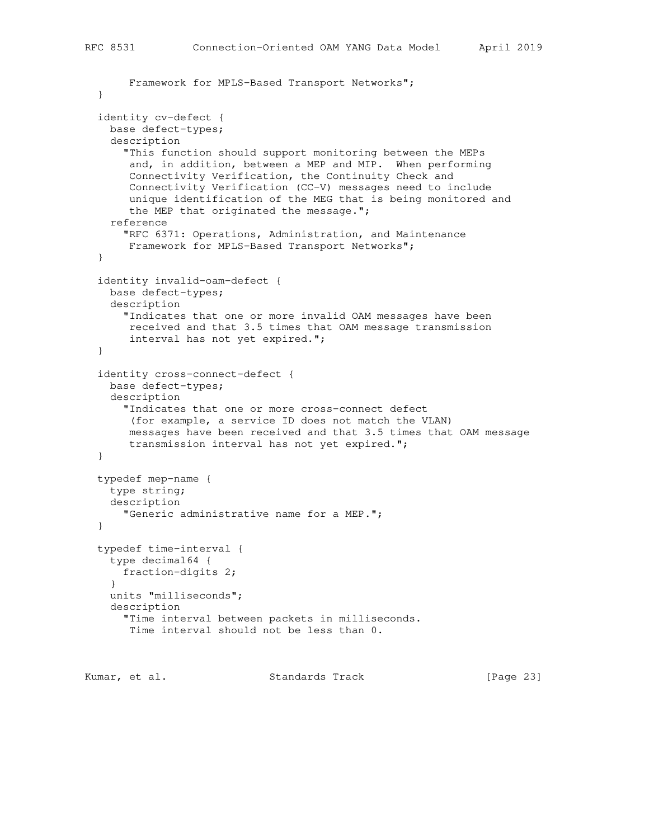```
 Framework for MPLS-Based Transport Networks";
 }
 identity cv-defect {
  base defect-types;
  description
     "This function should support monitoring between the MEPs
     and, in addition, between a MEP and MIP. When performing
     Connectivity Verification, the Continuity Check and
     Connectivity Verification (CC-V) messages need to include
     unique identification of the MEG that is being monitored and
     the MEP that originated the message.";
   reference
     "RFC 6371: Operations, Administration, and Maintenance
     Framework for MPLS-Based Transport Networks";
 }
 identity invalid-oam-defect {
  base defect-types;
  description
     "Indicates that one or more invalid OAM messages have been
     received and that 3.5 times that OAM message transmission
     interval has not yet expired.";
 }
 identity cross-connect-defect {
  base defect-types;
  description
     "Indicates that one or more cross-connect defect
     (for example, a service ID does not match the VLAN)
     messages have been received and that 3.5 times that OAM message
     transmission interval has not yet expired.";
 }
 typedef mep-name {
  type string;
  description
    "Generic administrative name for a MEP.";
 }
 typedef time-interval {
  type decimal64 {
    fraction-digits 2;
   }
  units "milliseconds";
  description
     "Time interval between packets in milliseconds.
     Time interval should not be less than 0.
```
Kumar, et al. Standards Track [Page 23]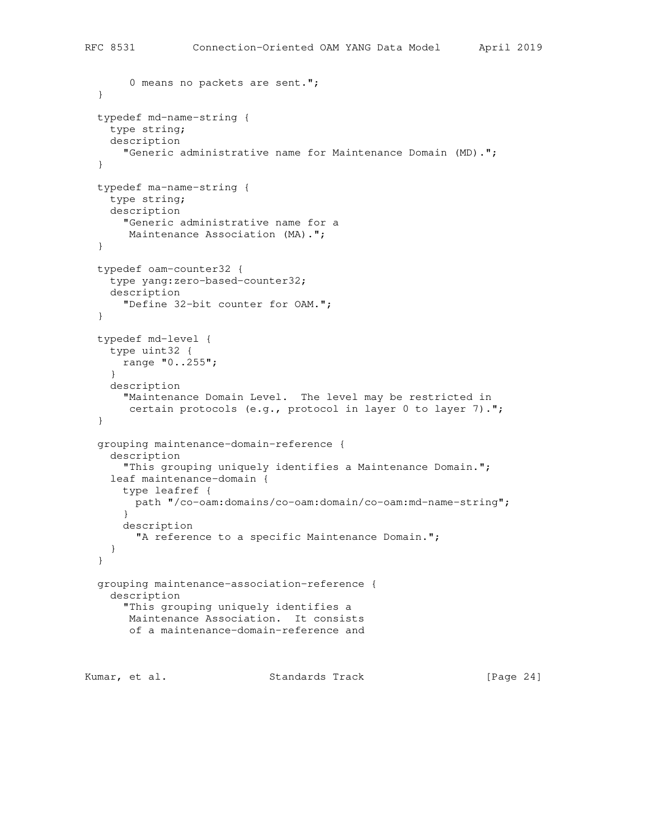```
 0 means no packets are sent.";
  }
  typedef md-name-string {
    type string;
    description
       "Generic administrative name for Maintenance Domain (MD).";
  }
  typedef ma-name-string {
    type string;
    description
       "Generic administrative name for a
       Maintenance Association (MA).";
  }
  typedef oam-counter32 {
    type yang:zero-based-counter32;
    description
      "Define 32-bit counter for OAM.";
  }
  typedef md-level {
     type uint32 {
      range "0..255";
     }
    description
       "Maintenance Domain Level. The level may be restricted in
       certain protocols (e.g., protocol in layer 0 to layer 7).";
  }
  grouping maintenance-domain-reference {
     description
       "This grouping uniquely identifies a Maintenance Domain.";
     leaf maintenance-domain {
       type leafref {
        path "/co-oam:domains/co-oam:domain/co-oam:md-name-string";
 }
      description
        "A reference to a specific Maintenance Domain.";
     }
  }
  grouping maintenance-association-reference {
     description
       "This grouping uniquely identifies a
       Maintenance Association. It consists
       of a maintenance-domain-reference and
```
Kumar, et al. Standards Track [Page 24]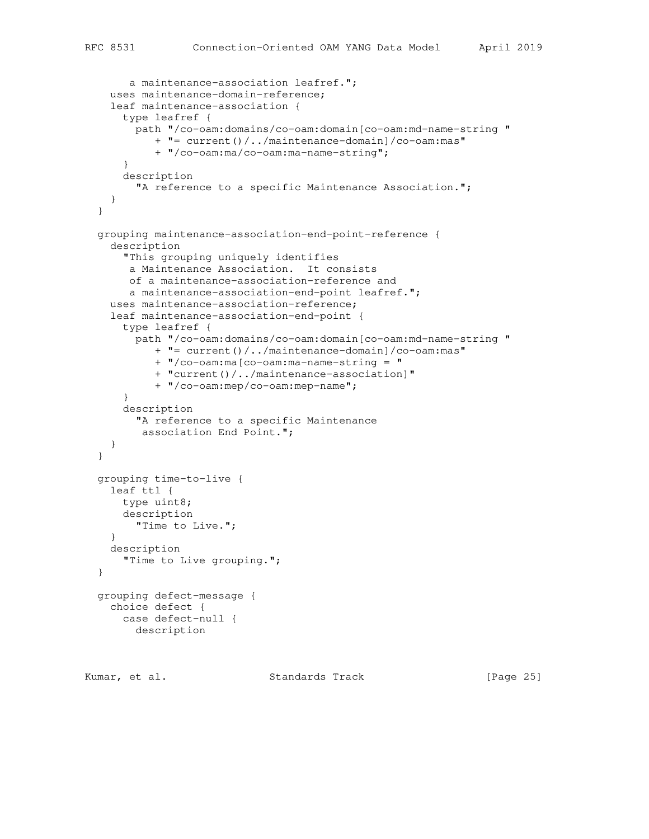```
 a maintenance-association leafref.";
   uses maintenance-domain-reference;
   leaf maintenance-association {
     type leafref {
       path "/co-oam:domains/co-oam:domain[co-oam:md-name-string "
          + "= current()/../maintenance-domain]/co-oam:mas"
          + "/co-oam:ma/co-oam:ma-name-string";
     }
     description
       "A reference to a specific Maintenance Association.";
  }
 }
 grouping maintenance-association-end-point-reference {
  description
     "This grouping uniquely identifies
      a Maintenance Association. It consists
      of a maintenance-association-reference and
      a maintenance-association-end-point leafref.";
  uses maintenance-association-reference;
   leaf maintenance-association-end-point {
     type leafref {
       path "/co-oam:domains/co-oam:domain[co-oam:md-name-string "
          + "= current()/../maintenance-domain]/co-oam:mas"
          + "/co-oam:ma[co-oam:ma-name-string = "
          + "current()/../maintenance-association]"
          + "/co-oam:mep/co-oam:mep-name";
     }
     description
       "A reference to a specific Maintenance
        association End Point.";
  }
 }
 grouping time-to-live {
  leaf ttl {
    type uint8;
    description
      "Time to Live.";
   }
  description
    "Time to Live grouping.";
 }
 grouping defect-message {
  choice defect {
    case defect-null {
       description
```
Kumar, et al. Standards Track [Page 25]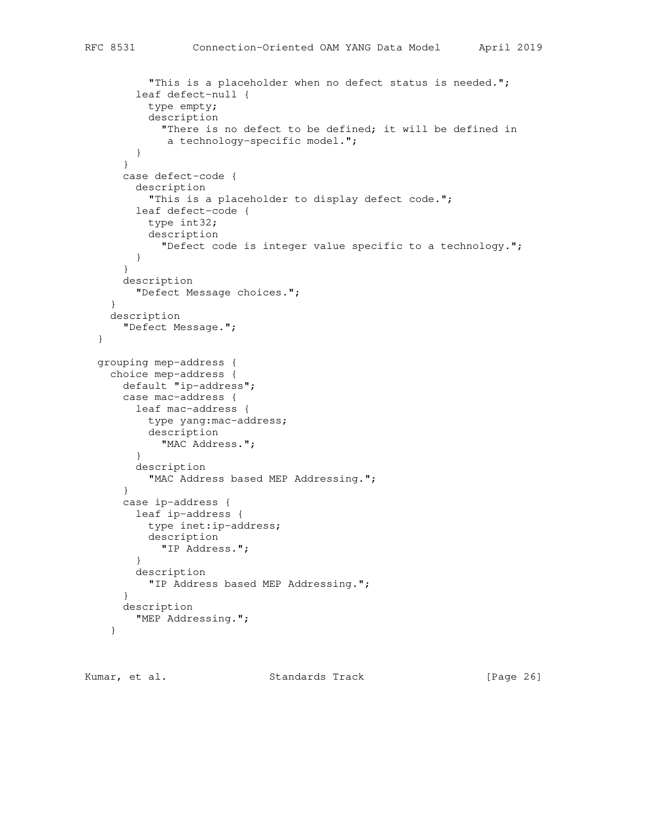```
 "This is a placeholder when no defect status is needed.";
       leaf defect-null {
         type empty;
         description
           "There is no defect to be defined; it will be defined in
            a technology-specific model.";
       }
     }
     case defect-code {
       description
         "This is a placeholder to display defect code.";
       leaf defect-code {
        type int32;
        description
           "Defect code is integer value specific to a technology.";
      }
     }
     description
      "Defect Message choices.";
   }
   description
     "Defect Message.";
 }
 grouping mep-address {
   choice mep-address {
    default "ip-address";
     case mac-address {
       leaf mac-address {
        type yang:mac-address;
         description
           "MAC Address.";
       }
       description
         "MAC Address based MEP Addressing.";
     }
     case ip-address {
       leaf ip-address {
        type inet:ip-address;
         description
           "IP Address.";
       }
       description
        "IP Address based MEP Addressing.";
     }
     description
       "MEP Addressing.";
   }
```
Kumar, et al. Standards Track [Page 26]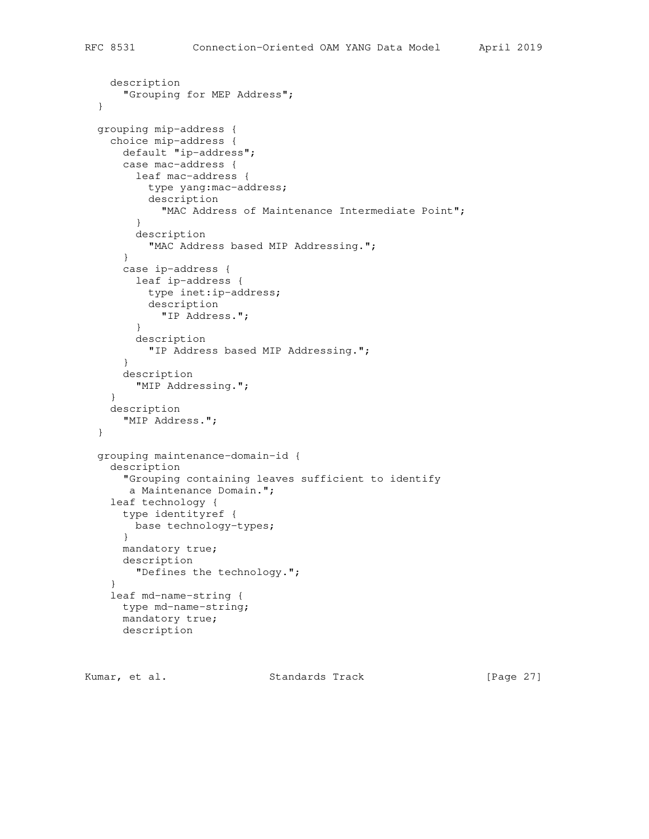```
 description
     "Grouping for MEP Address";
 }
 grouping mip-address {
   choice mip-address {
    default "ip-address";
     case mac-address {
       leaf mac-address {
         type yang:mac-address;
         description
           "MAC Address of Maintenance Intermediate Point";
       }
       description
         "MAC Address based MIP Addressing.";
     }
     case ip-address {
       leaf ip-address {
         type inet:ip-address;
         description
           "IP Address.";
       }
       description
         "IP Address based MIP Addressing.";
     }
     description
      "MIP Addressing.";
   }
   description
     "MIP Address.";
 }
 grouping maintenance-domain-id {
   description
     "Grouping containing leaves sufficient to identify
     a Maintenance Domain.";
   leaf technology {
    type identityref {
      base technology-types;
     }
    mandatory true;
    description
      "Defines the technology.";
   }
   leaf md-name-string {
    type md-name-string;
    mandatory true;
    description
```
Kumar, et al. Standards Track [Page 27]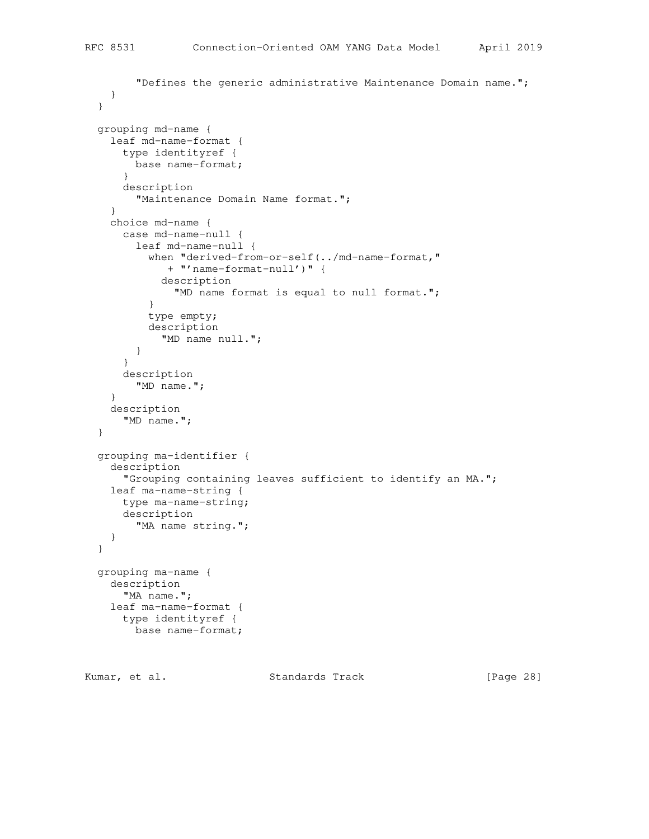```
 "Defines the generic administrative Maintenance Domain name.";
    }
  }
  grouping md-name {
     leaf md-name-format {
       type identityref {
        base name-format;
      }
      description
         "Maintenance Domain Name format.";
     }
    choice md-name {
      case md-name-null {
         leaf md-name-null {
           when "derived-from-or-self(../md-name-format,"
              + "'name-format-null')" {
             description
               "MD name format is equal to null format.";
 }
           type empty;
           description
             "MD name null.";
        }
       }
       description
        "MD name.";
     }
    description
      "MD name.";
  }
  grouping ma-identifier {
    description
       "Grouping containing leaves sufficient to identify an MA.";
    leaf ma-name-string {
      type ma-name-string;
      description
       "MA name string.";
    }
  }
  grouping ma-name {
    description
      "MA name.";
    leaf ma-name-format {
      type identityref {
        base name-format;
```
Kumar, et al. Standards Track [Page 28]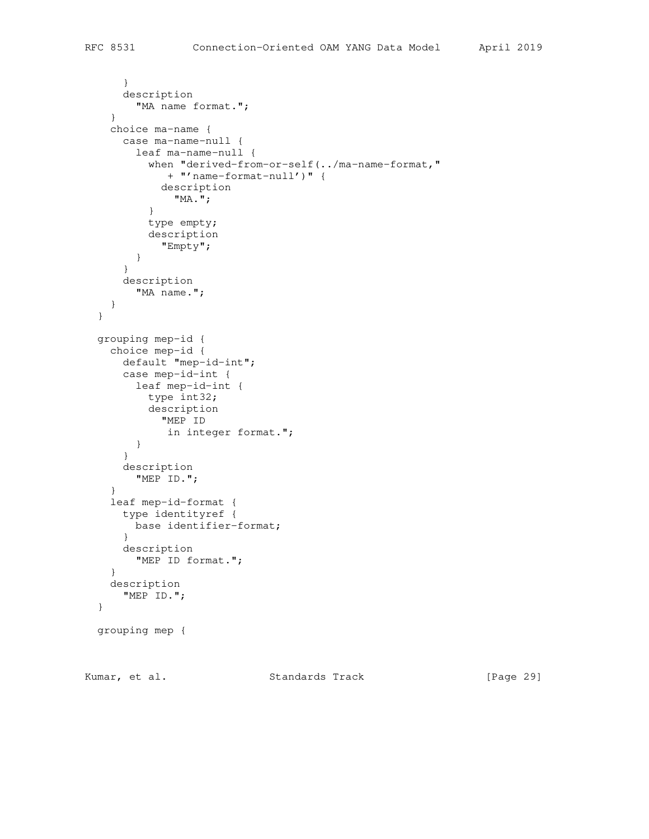```
 }
     description
     "MA name format.";
   }
   choice ma-name {
     case ma-name-null {
       leaf ma-name-null {
         when "derived-from-or-self(../ma-name-format,"
            + "'name-format-null')" {
           description
             "MA.";
         }
         type empty;
         description
           "Empty";
      }
     }
     description
      "MA name.";
   }
 }
 grouping mep-id {
   choice mep-id {
     default "mep-id-int";
     case mep-id-int {
       leaf mep-id-int {
         type int32;
         description
           "MEP ID
            in integer format.";
       }
     }
     description
      "MEP ID.";
   }
   leaf mep-id-format {
     type identityref {
      base identifier-format;
     }
     description
      "MEP ID format.";
   }
   description
     "MEP ID.";
 }
 grouping mep {
```
Kumar, et al. Standards Track [Page 29]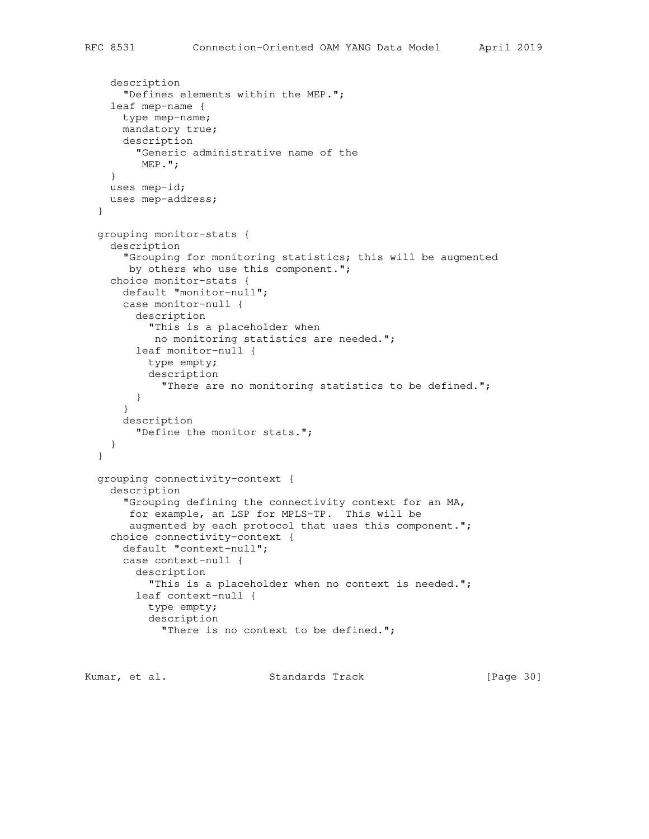```
 description
     "Defines elements within the MEP.";
   leaf mep-name {
    type mep-name;
    mandatory true;
    description
       "Generic administrative name of the
       MEP.";
   }
  uses mep-id;
   uses mep-address;
 }
 grouping monitor-stats {
   description
     "Grouping for monitoring statistics; this will be augmented
     by others who use this component.";
   choice monitor-stats {
     default "monitor-null";
     case monitor-null {
       description
         "This is a placeholder when
          no monitoring statistics are needed.";
       leaf monitor-null {
         type empty;
         description
           "There are no monitoring statistics to be defined.";
       }
     }
     description
      "Define the monitor stats.";
   }
 }
 grouping connectivity-context {
   description
     "Grouping defining the connectivity context for an MA,
      for example, an LSP for MPLS-TP. This will be
      augmented by each protocol that uses this component.";
   choice connectivity-context {
     default "context-null";
     case context-null {
       description
         "This is a placeholder when no context is needed.";
       leaf context-null {
         type empty;
         description
          "There is no context to be defined.";
```
Kumar, et al. Standards Track [Page 30]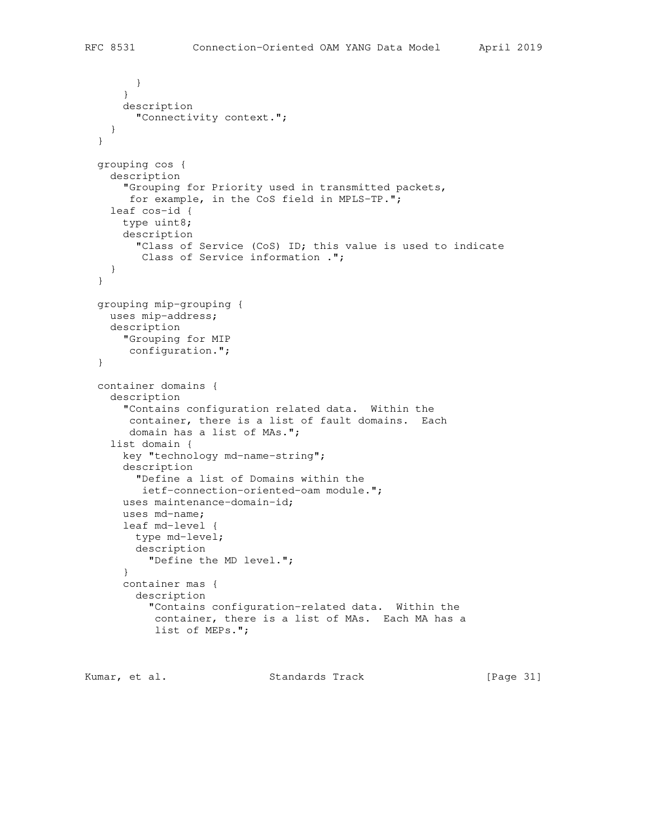```
 }
     }
     description
      "Connectivity context.";
   }
 }
 grouping cos {
   description
     "Grouping for Priority used in transmitted packets,
     for example, in the CoS field in MPLS-TP.";
   leaf cos-id {
    type uint8;
     description
       "Class of Service (CoS) ID; this value is used to indicate
        Class of Service information .";
  }
 }
 grouping mip-grouping {
  uses mip-address;
  description
     "Grouping for MIP
     configuration.";
 }
 container domains {
   description
     "Contains configuration related data. Within the
     container, there is a list of fault domains. Each
     domain has a list of MAs.";
   list domain {
     key "technology md-name-string";
     description
       "Define a list of Domains within the
       ietf-connection-oriented-oam module.";
     uses maintenance-domain-id;
     uses md-name;
     leaf md-level {
      type md-level;
      description
        "Define the MD level.";
     }
     container mas {
       description
         "Contains configuration-related data. Within the
          container, there is a list of MAs. Each MA has a
          list of MEPs.";
```
Kumar, et al. Standards Track [Page 31]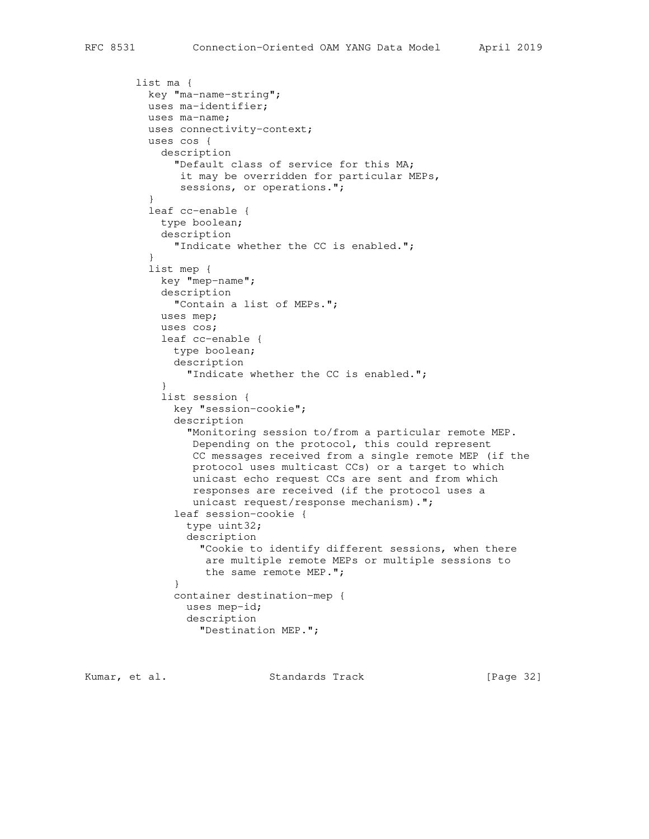```
 list ma {
          key "ma-name-string";
          uses ma-identifier;
          uses ma-name;
          uses connectivity-context;
          uses cos {
            description
               "Default class of service for this MA;
               it may be overridden for particular MEPs,
               sessions, or operations.";
 }
          leaf cc-enable {
            type boolean;
            description
              "Indicate whether the CC is enabled.";
 }
          list mep {
            key "mep-name";
            description
              "Contain a list of MEPs.";
            uses mep;
            uses cos;
            leaf cc-enable {
              type boolean;
               description
                 "Indicate whether the CC is enabled.";
 }
            list session {
               key "session-cookie";
               description
                 "Monitoring session to/from a particular remote MEP.
                  Depending on the protocol, this could represent
                  CC messages received from a single remote MEP (if the
                 protocol uses multicast CCs) or a target to which
                 unicast echo request CCs are sent and from which
                 responses are received (if the protocol uses a
                 unicast request/response mechanism).";
               leaf session-cookie {
                 type uint32;
                 description
                   "Cookie to identify different sessions, when there
                    are multiple remote MEPs or multiple sessions to
                    the same remote MEP.";
 }
               container destination-mep {
                uses mep-id;
                description
                   "Destination MEP.";
```
Kumar, et al. Standards Track [Page 32]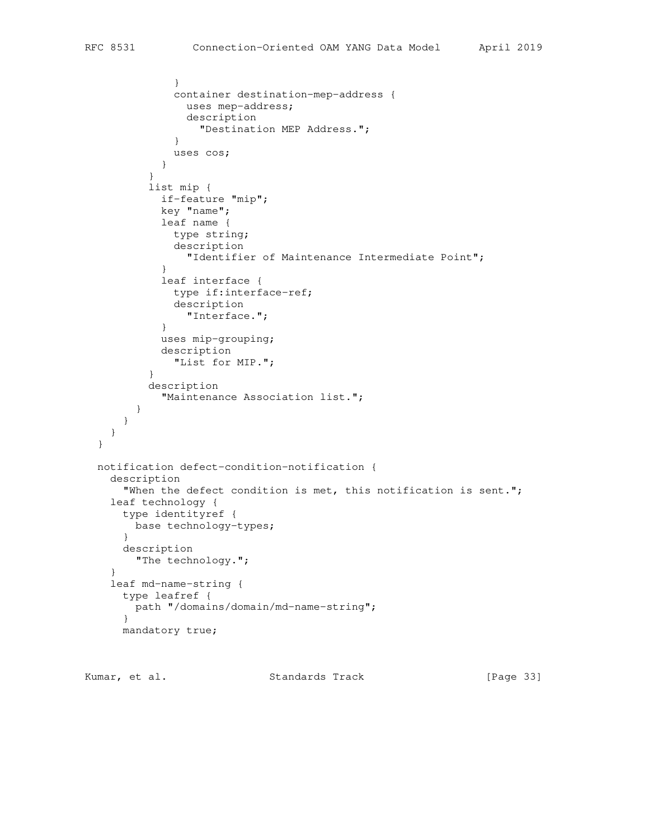```
 }
              container destination-mep-address {
               uses mep-address;
                description
                  "Destination MEP Address.";
 }
              uses cos;
 }
 }
          list mip {
            if-feature "mip";
            key "name";
            leaf name {
             type string;
              description
                "Identifier of Maintenance Intermediate Point";
 }
            leaf interface {
             type if:interface-ref;
              description
                "Interface.";
 }
            uses mip-grouping;
            description
              "List for MIP.";
 }
          description
            "Maintenance Association list.";
        }
      }
    }
  }
  notification defect-condition-notification {
    description
      "When the defect condition is met, this notification is sent.";
    leaf technology {
      type identityref {
        base technology-types;
      }
      description
       "The technology.";
    }
    leaf md-name-string {
      type leafref {
       path "/domains/domain/md-name-string";
      }
      mandatory true;
```
Kumar, et al. Standards Track [Page 33]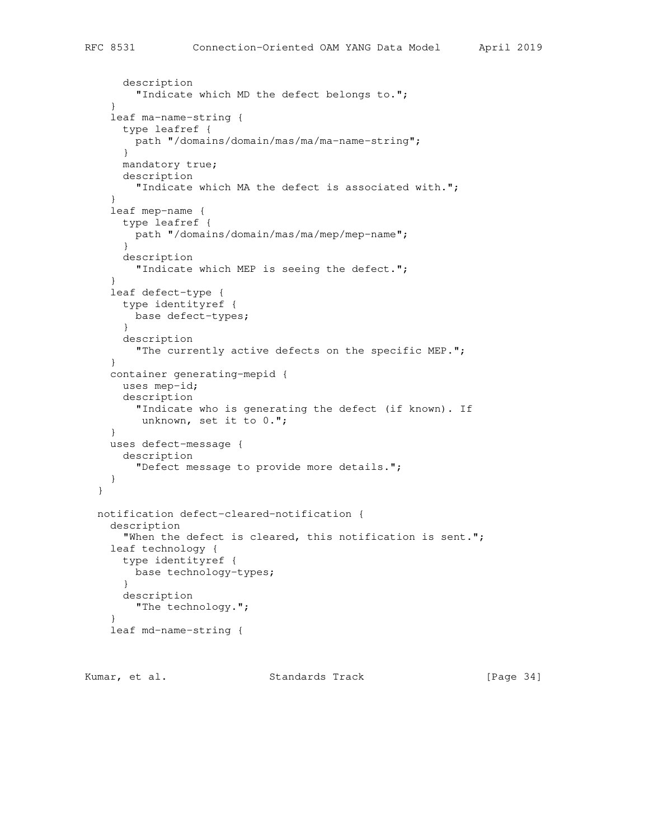```
 description
       "Indicate which MD the defect belongs to.";
   }
   leaf ma-name-string {
     type leafref {
      path "/domains/domain/mas/ma/ma-name-string";
     }
    mandatory true;
     description
       "Indicate which MA the defect is associated with.";
   }
   leaf mep-name {
     type leafref {
      path "/domains/domain/mas/ma/mep/mep-name";
     }
    description
       "Indicate which MEP is seeing the defect.";
   }
   leaf defect-type {
     type identityref {
      base defect-types;
    }
     description
       "The currently active defects on the specific MEP.";
   }
   container generating-mepid {
    uses mep-id;
     description
       "Indicate who is generating the defect (if known). If
       unknown, set it to 0.";
   }
   uses defect-message {
    description
       "Defect message to provide more details.";
  }
 }
 notification defect-cleared-notification {
   description
     "When the defect is cleared, this notification is sent.";
   leaf technology {
    type identityref {
      base technology-types;
     }
    description
      "The technology.";
   }
   leaf md-name-string {
```

```
Kumar, et al.                   Standards Track                 [Page 34]
```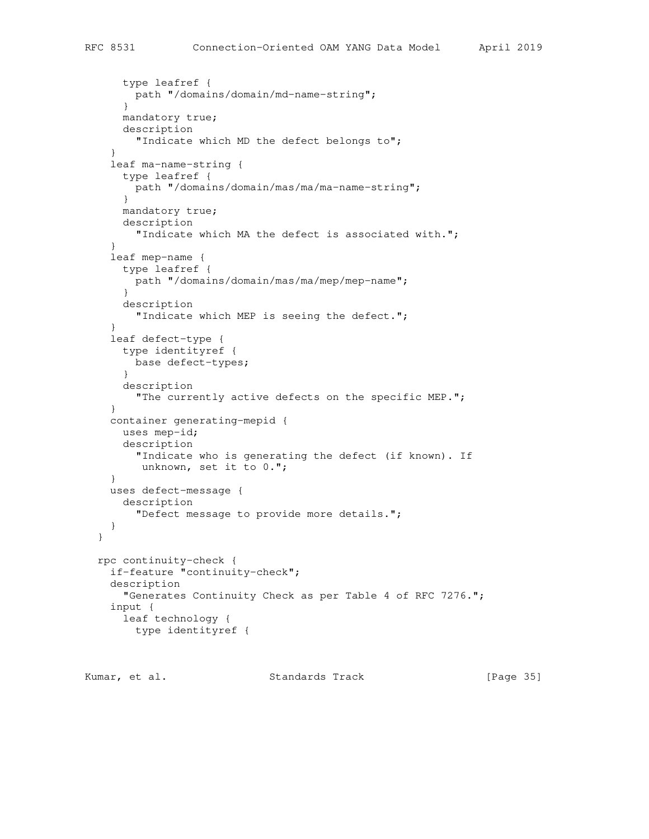```
 type leafref {
       path "/domains/domain/md-name-string";
       }
      mandatory true;
      description
         "Indicate which MD the defect belongs to";
     }
     leaf ma-name-string {
       type leafref {
        path "/domains/domain/mas/ma/ma-name-string";
       }
      mandatory true;
      description
        "Indicate which MA the defect is associated with.";
     }
     leaf mep-name {
      type leafref {
       path "/domains/domain/mas/ma/mep/mep-name";
       }
      description
        "Indicate which MEP is seeing the defect.";
     }
     leaf defect-type {
       type identityref {
        base defect-types;
 }
      description
         "The currently active defects on the specific MEP.";
     }
    container generating-mepid {
      uses mep-id;
       description
         "Indicate who is generating the defect (if known). If
         unknown, set it to 0.";
     }
    uses defect-message {
      description
        "Defect message to provide more details.";
    }
  }
  rpc continuity-check {
    if-feature "continuity-check";
    description
       "Generates Continuity Check as per Table 4 of RFC 7276.";
    input {
      leaf technology {
        type identityref {
```
Kumar, et al. Standards Track [Page 35]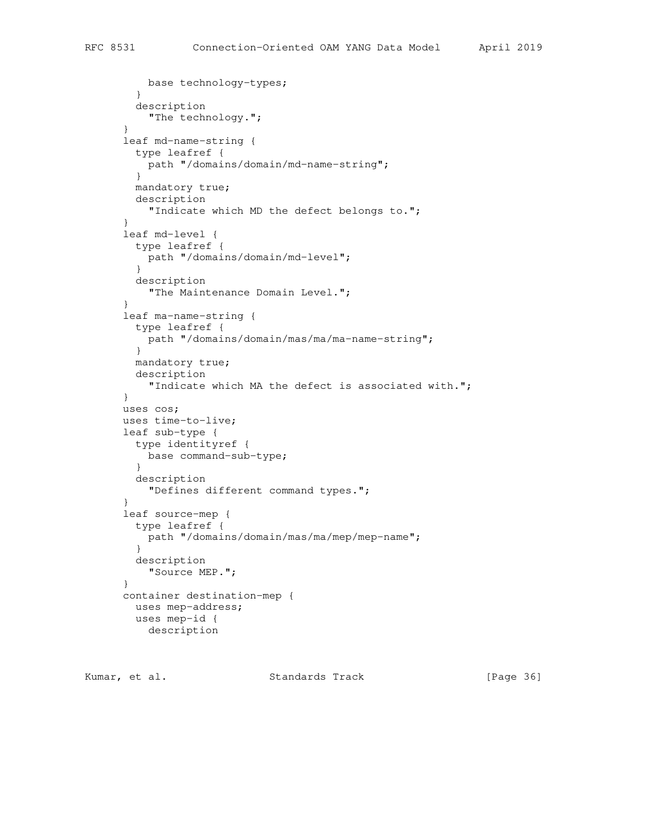```
 base technology-types;
 }
         description
          "The technology.";
       }
       leaf md-name-string {
         type leafref {
          path "/domains/domain/md-name-string";
         }
         mandatory true;
         description
           "Indicate which MD the defect belongs to.";
       }
       leaf md-level {
         type leafref {
          path "/domains/domain/md-level";
 }
         description
          "The Maintenance Domain Level.";
       }
       leaf ma-name-string {
         type leafref {
          path "/domains/domain/mas/ma/ma-name-string";
         }
        mandatory true;
         description
           "Indicate which MA the defect is associated with.";
       }
       uses cos;
      uses time-to-live;
       leaf sub-type {
        type identityref {
          base command-sub-type;
         }
        description
          "Defines different command types.";
       }
       leaf source-mep {
         type leafref {
          path "/domains/domain/mas/ma/mep/mep-name";
         }
         description
          "Source MEP.";
       }
       container destination-mep {
        uses mep-address;
         uses mep-id {
           description
```
Kumar, et al. Standards Track [Page 36]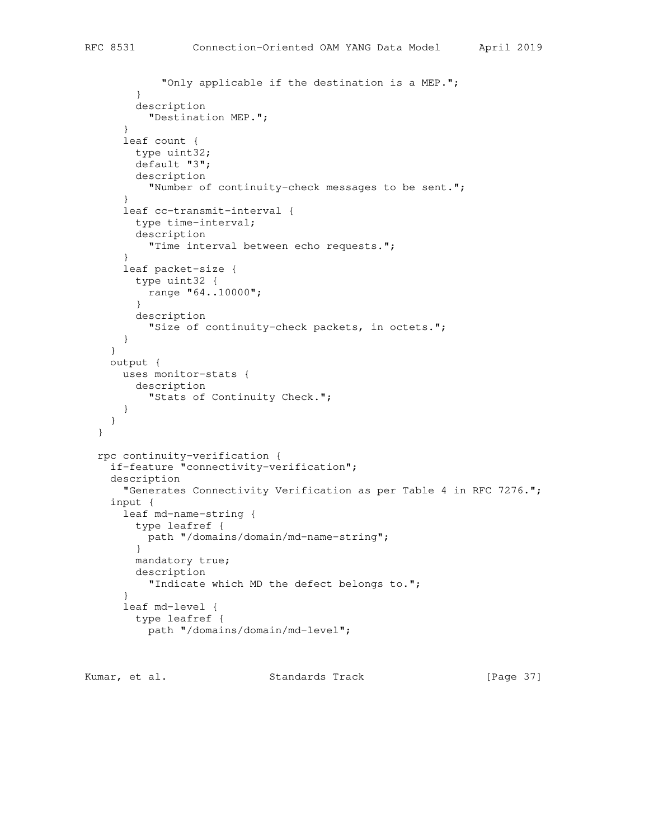```
 "Only applicable if the destination is a MEP.";
 }
         description
           "Destination MEP.";
       }
       leaf count {
        type uint32;
         default "3";
         description
           "Number of continuity-check messages to be sent.";
 }
       leaf cc-transmit-interval {
         type time-interval;
        description
          "Time interval between echo requests.";
       }
       leaf packet-size {
        type uint32 {
          range "64..10000";
         }
         description
           "Size of continuity-check packets, in octets.";
       }
     }
    output {
      uses monitor-stats {
         description
           "Stats of Continuity Check.";
       }
     }
  }
  rpc continuity-verification {
    if-feature "connectivity-verification";
    description
       "Generates Connectivity Verification as per Table 4 in RFC 7276.";
     input {
       leaf md-name-string {
         type leafref {
          path "/domains/domain/md-name-string";
         }
         mandatory true;
         description
          "Indicate which MD the defect belongs to.";
       }
       leaf md-level {
         type leafref {
           path "/domains/domain/md-level";
```
Kumar, et al. Standards Track [Page 37]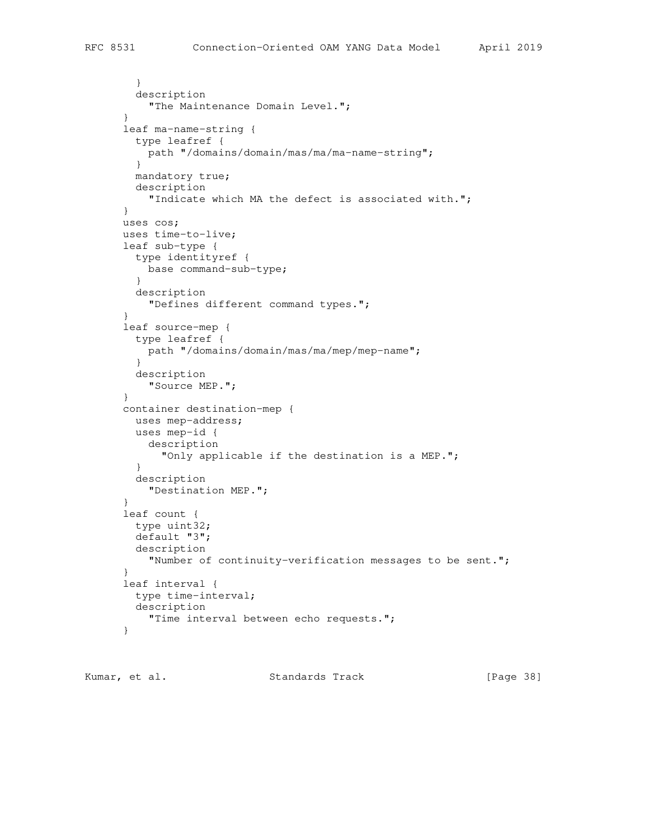```
 }
         description
          "The Maintenance Domain Level.";
       }
       leaf ma-name-string {
         type leafref {
          path "/domains/domain/mas/ma/ma-name-string";
         }
         mandatory true;
         description
           "Indicate which MA the defect is associated with.";
       }
       uses cos;
       uses time-to-live;
       leaf sub-type {
        type identityref {
          base command-sub-type;
         }
         description
          "Defines different command types.";
       }
       leaf source-mep {
         type leafref {
          path "/domains/domain/mas/ma/mep/mep-name";
         }
         description
           "Source MEP.";
       }
       container destination-mep {
        uses mep-address;
         uses mep-id {
           description
             "Only applicable if the destination is a MEP.";
         }
         description
          "Destination MEP.";
       }
       leaf count {
         type uint32;
         default "3";
         description
           "Number of continuity-verification messages to be sent.";
       }
       leaf interval {
         type time-interval;
         description
           "Time interval between echo requests.";
       }
```
Kumar, et al. Standards Track [Page 38]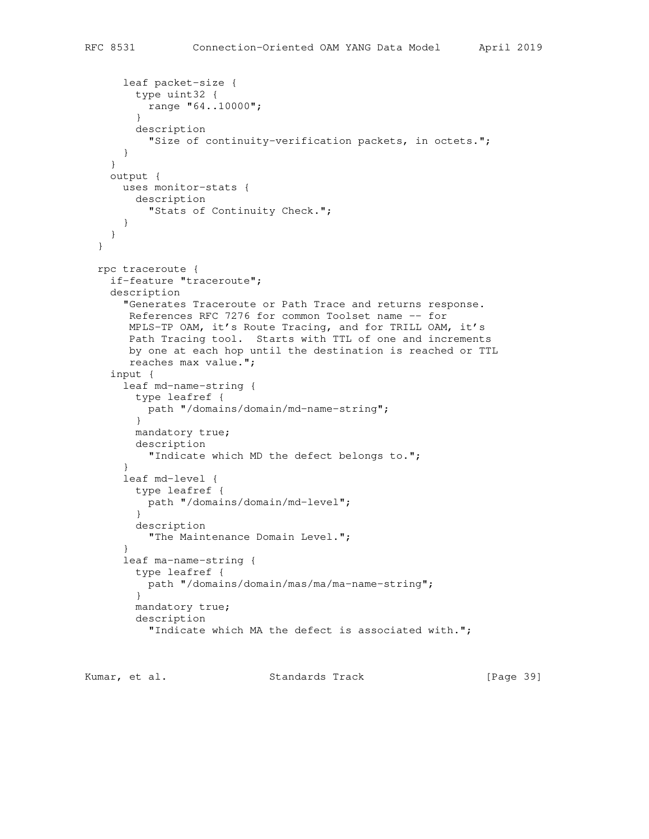```
 leaf packet-size {
        type uint32 {
          range "64..10000";
 }
        description
          "Size of continuity-verification packets, in octets.";
      }
     }
    output {
      uses monitor-stats {
        description
          "Stats of Continuity Check.";
      }
    }
  }
  rpc traceroute {
    if-feature "traceroute";
    description
       "Generates Traceroute or Path Trace and returns response.
       References RFC 7276 for common Toolset name -- for
       MPLS-TP OAM, it's Route Tracing, and for TRILL OAM, it's
       Path Tracing tool. Starts with TTL of one and increments
       by one at each hop until the destination is reached or TTL
       reaches max value.";
     input {
       leaf md-name-string {
        type leafref {
          path "/domains/domain/md-name-string";
         }
        mandatory true;
        description
           "Indicate which MD the defect belongs to.";
       }
       leaf md-level {
        type leafref {
          path "/domains/domain/md-level";
 }
        description
          "The Maintenance Domain Level.";
       }
       leaf ma-name-string {
         type leafref {
          path "/domains/domain/mas/ma/ma-name-string";
         }
        mandatory true;
        description
           "Indicate which MA the defect is associated with.";
```
Kumar, et al. Standards Track [Page 39]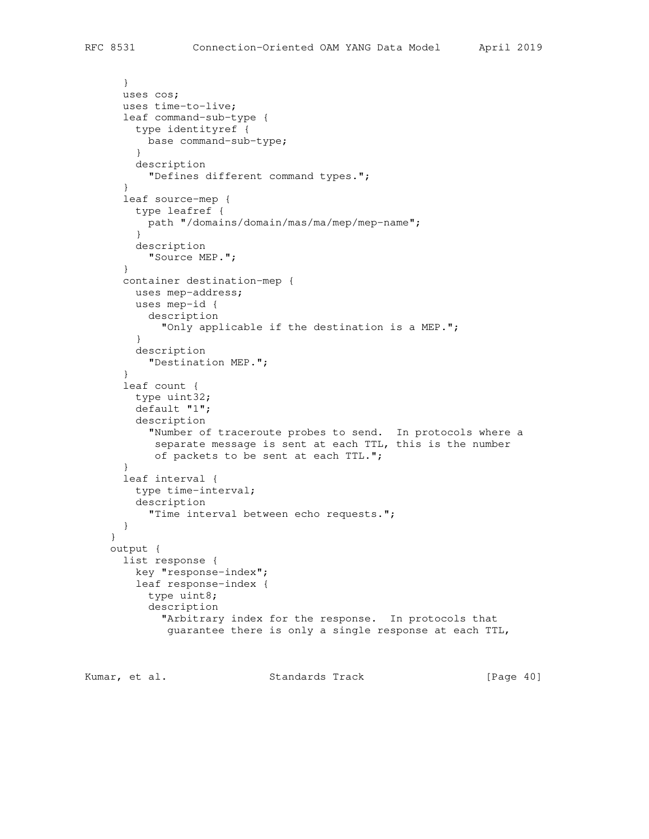```
 }
      uses cos;
      uses time-to-live;
      leaf command-sub-type {
        type identityref {
          base command-sub-type;
         }
        description
          "Defines different command types.";
       }
       leaf source-mep {
        type leafref {
          path "/domains/domain/mas/ma/mep/mep-name";
 }
        description
          "Source MEP.";
       }
       container destination-mep {
        uses mep-address;
        uses mep-id {
           description
             "Only applicable if the destination is a MEP.";
 }
        description
           "Destination MEP.";
 }
       leaf count {
        type uint32;
        default "1";
        description
           "Number of traceroute probes to send. In protocols where a
           separate message is sent at each TTL, this is the number
            of packets to be sent at each TTL.";
       }
      leaf interval {
        type time-interval;
        description
          "Time interval between echo requests.";
       }
     }
     output {
      list response {
        key "response-index";
         leaf response-index {
           type uint8;
           description
             "Arbitrary index for the response. In protocols that
              guarantee there is only a single response at each TTL,
```
Kumar, et al. Standards Track [Page 40]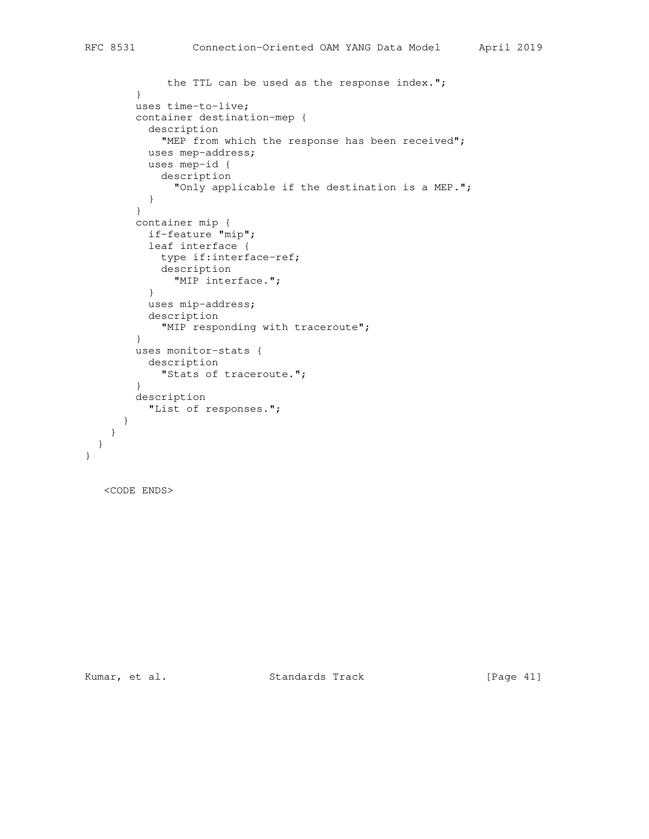```
the TTL can be used as the response index.";
     }
     uses time-to-live;
     container destination-mep {
       description
         "MEP from which the response has been received";
       uses mep-address;
       uses mep-id {
         description
           "Only applicable if the destination is a MEP.";
       }
     }
     container mip {
       if-feature "mip";
       leaf interface {
        type if:interface-ref;
        description
         "MIP interface.";
       }
       uses mip-address;
       description
        "MIP responding with traceroute";
     }
     uses monitor-stats {
       description
         "Stats of traceroute.";
     }
     description
       "List of responses.";
   }
 }
```
<CODE ENDS>

 } }

Kumar, et al. Standards Track [Page 41]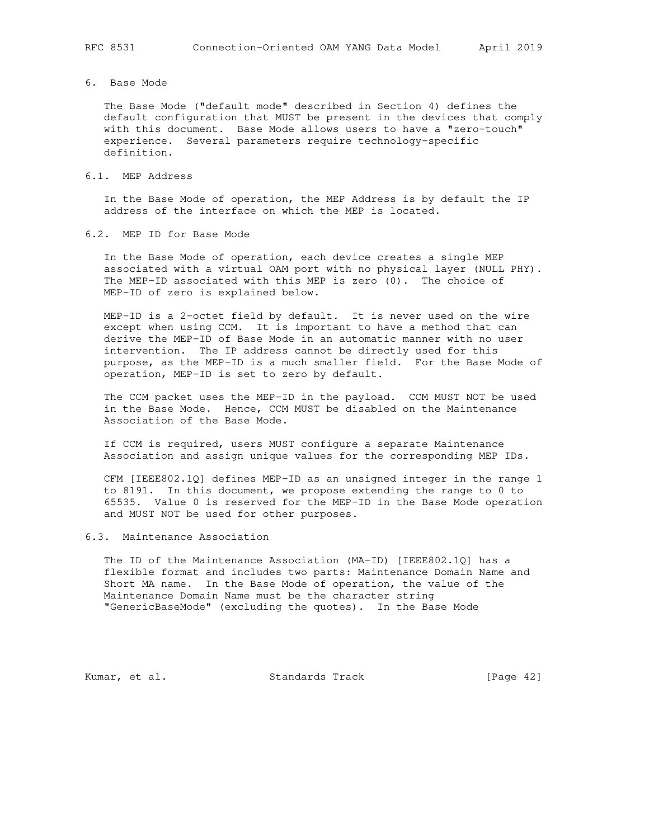6. Base Mode

 The Base Mode ("default mode" described in Section 4) defines the default configuration that MUST be present in the devices that comply with this document. Base Mode allows users to have a "zero-touch" experience. Several parameters require technology-specific definition.

## 6.1. MEP Address

 In the Base Mode of operation, the MEP Address is by default the IP address of the interface on which the MEP is located.

## 6.2. MEP ID for Base Mode

 In the Base Mode of operation, each device creates a single MEP associated with a virtual OAM port with no physical layer (NULL PHY). The MEP-ID associated with this MEP is zero (0). The choice of MEP-ID of zero is explained below.

 MEP-ID is a 2-octet field by default. It is never used on the wire except when using CCM. It is important to have a method that can derive the MEP-ID of Base Mode in an automatic manner with no user intervention. The IP address cannot be directly used for this purpose, as the MEP-ID is a much smaller field. For the Base Mode of operation, MEP-ID is set to zero by default.

 The CCM packet uses the MEP-ID in the payload. CCM MUST NOT be used in the Base Mode. Hence, CCM MUST be disabled on the Maintenance Association of the Base Mode.

 If CCM is required, users MUST configure a separate Maintenance Association and assign unique values for the corresponding MEP IDs.

 CFM [IEEE802.1Q] defines MEP-ID as an unsigned integer in the range 1 to 8191. In this document, we propose extending the range to 0 to 65535. Value 0 is reserved for the MEP-ID in the Base Mode operation and MUST NOT be used for other purposes.

#### 6.3. Maintenance Association

 The ID of the Maintenance Association (MA-ID) [IEEE802.1Q] has a flexible format and includes two parts: Maintenance Domain Name and Short MA name. In the Base Mode of operation, the value of the Maintenance Domain Name must be the character string "GenericBaseMode" (excluding the quotes). In the Base Mode

Kumar, et al. Standards Track [Page 42]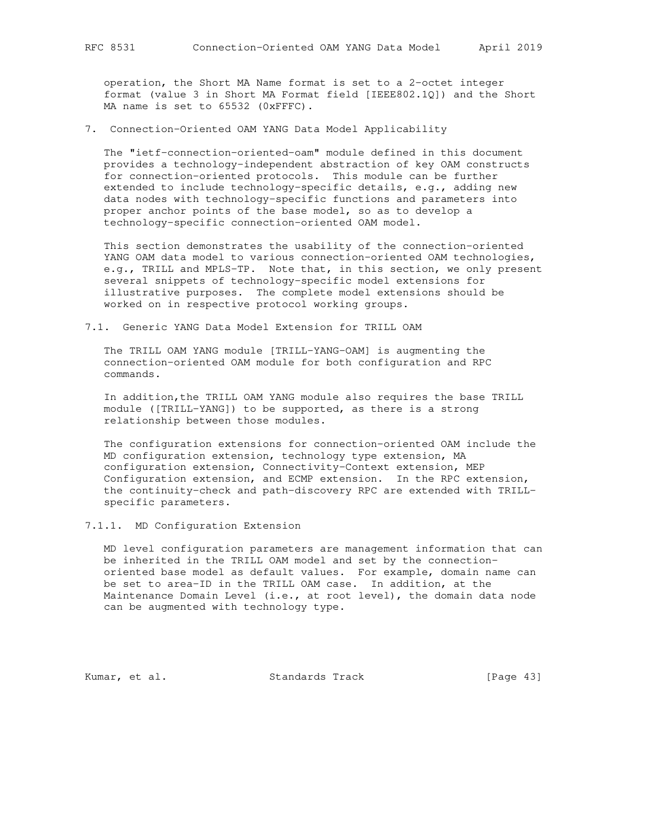operation, the Short MA Name format is set to a 2-octet integer format (value 3 in Short MA Format field [IEEE802.1Q]) and the Short MA name is set to 65532 (0xFFFC).

7. Connection-Oriented OAM YANG Data Model Applicability

 The "ietf-connection-oriented-oam" module defined in this document provides a technology-independent abstraction of key OAM constructs for connection-oriented protocols. This module can be further extended to include technology-specific details, e.g., adding new data nodes with technology-specific functions and parameters into proper anchor points of the base model, so as to develop a technology-specific connection-oriented OAM model.

 This section demonstrates the usability of the connection-oriented YANG OAM data model to various connection-oriented OAM technologies, e.g., TRILL and MPLS-TP. Note that, in this section, we only present several snippets of technology-specific model extensions for illustrative purposes. The complete model extensions should be worked on in respective protocol working groups.

7.1. Generic YANG Data Model Extension for TRILL OAM

 The TRILL OAM YANG module [TRILL-YANG-OAM] is augmenting the connection-oriented OAM module for both configuration and RPC commands.

 In addition,the TRILL OAM YANG module also requires the base TRILL module ([TRILL-YANG]) to be supported, as there is a strong relationship between those modules.

 The configuration extensions for connection-oriented OAM include the MD configuration extension, technology type extension, MA configuration extension, Connectivity-Context extension, MEP Configuration extension, and ECMP extension. In the RPC extension, the continuity-check and path-discovery RPC are extended with TRILL specific parameters.

7.1.1. MD Configuration Extension

 MD level configuration parameters are management information that can be inherited in the TRILL OAM model and set by the connection oriented base model as default values. For example, domain name can be set to area-ID in the TRILL OAM case. In addition, at the Maintenance Domain Level (i.e., at root level), the domain data node can be augmented with technology type.

Kumar, et al. Standards Track [Page 43]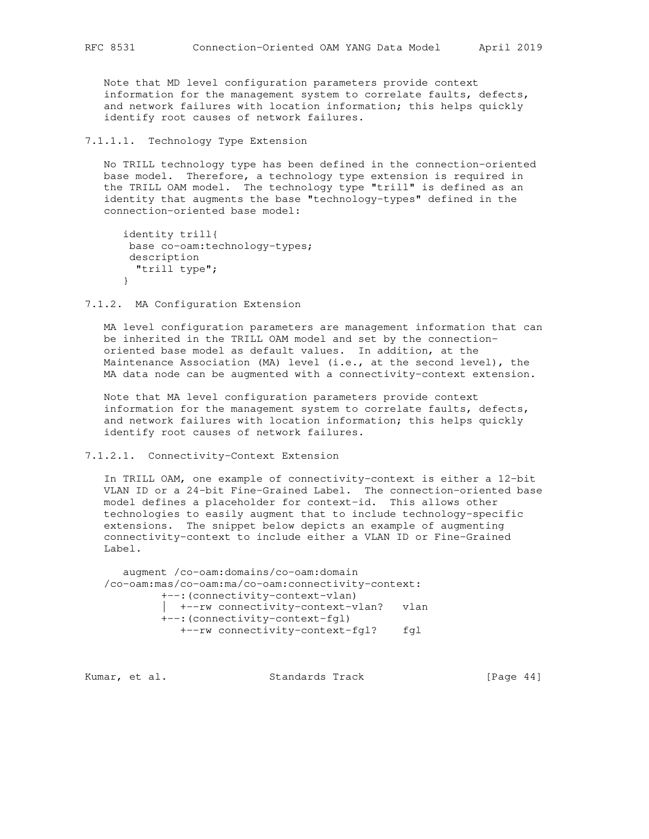Note that MD level configuration parameters provide context information for the management system to correlate faults, defects, and network failures with location information; this helps quickly identify root causes of network failures.

7.1.1.1. Technology Type Extension

 No TRILL technology type has been defined in the connection-oriented base model. Therefore, a technology type extension is required in the TRILL OAM model. The technology type "trill" is defined as an identity that augments the base "technology-types" defined in the connection-oriented base model:

```
 identity trill{
 base co-oam:technology-types;
 description
   "trill type";
 }
```
7.1.2. MA Configuration Extension

 MA level configuration parameters are management information that can be inherited in the TRILL OAM model and set by the connection oriented base model as default values. In addition, at the Maintenance Association (MA) level (i.e., at the second level), the MA data node can be augmented with a connectivity-context extension.

 Note that MA level configuration parameters provide context information for the management system to correlate faults, defects, and network failures with location information; this helps quickly identify root causes of network failures.

7.1.2.1. Connectivity-Context Extension

 In TRILL OAM, one example of connectivity-context is either a 12-bit VLAN ID or a 24-bit Fine-Grained Label. The connection-oriented base model defines a placeholder for context-id. This allows other technologies to easily augment that to include technology-specific extensions. The snippet below depicts an example of augmenting connectivity-context to include either a VLAN ID or Fine-Grained Label.

```
 augment /co-oam:domains/co-oam:domain
 /co-oam:mas/co-oam:ma/co-oam:connectivity-context:
         +--:(connectivity-context-vlan)
          | +--rw connectivity-context-vlan? vlan
         +--:(connectivity-context-fgl)
            +--rw connectivity-context-fgl? fgl
```
Kumar, et al. Standards Track [Page 44]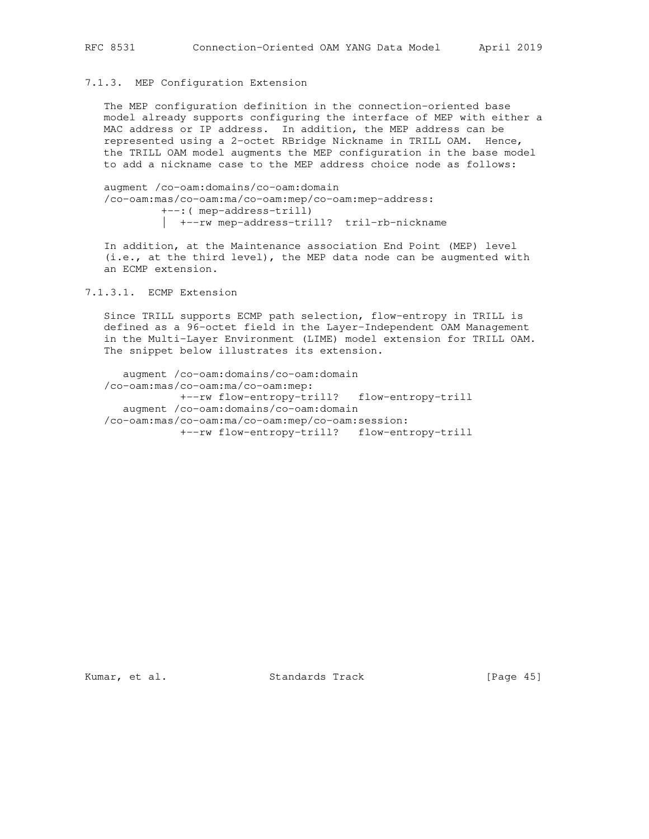#### 7.1.3. MEP Configuration Extension

 The MEP configuration definition in the connection-oriented base model already supports configuring the interface of MEP with either a MAC address or IP address. In addition, the MEP address can be represented using a 2-octet RBridge Nickname in TRILL OAM. Hence, the TRILL OAM model augments the MEP configuration in the base model to add a nickname case to the MEP address choice node as follows:

```
 augment /co-oam:domains/co-oam:domain
 /co-oam:mas/co-oam:ma/co-oam:mep/co-oam:mep-address:
          +--:( mep-address-trill)
          | +--rw mep-address-trill? tril-rb-nickname
```
 In addition, at the Maintenance association End Point (MEP) level (i.e., at the third level), the MEP data node can be augmented with an ECMP extension.

#### 7.1.3.1. ECMP Extension

 Since TRILL supports ECMP path selection, flow-entropy in TRILL is defined as a 96-octet field in the Layer-Independent OAM Management in the Multi-Layer Environment (LIME) model extension for TRILL OAM. The snippet below illustrates its extension.

```
 augment /co-oam:domains/co-oam:domain
 /co-oam:mas/co-oam:ma/co-oam:mep:
            +--rw flow-entropy-trill? flow-entropy-trill
    augment /co-oam:domains/co-oam:domain
 /co-oam:mas/co-oam:ma/co-oam:mep/co-oam:session:
            +--rw flow-entropy-trill? flow-entropy-trill
```
Kumar, et al. Standards Track [Page 45]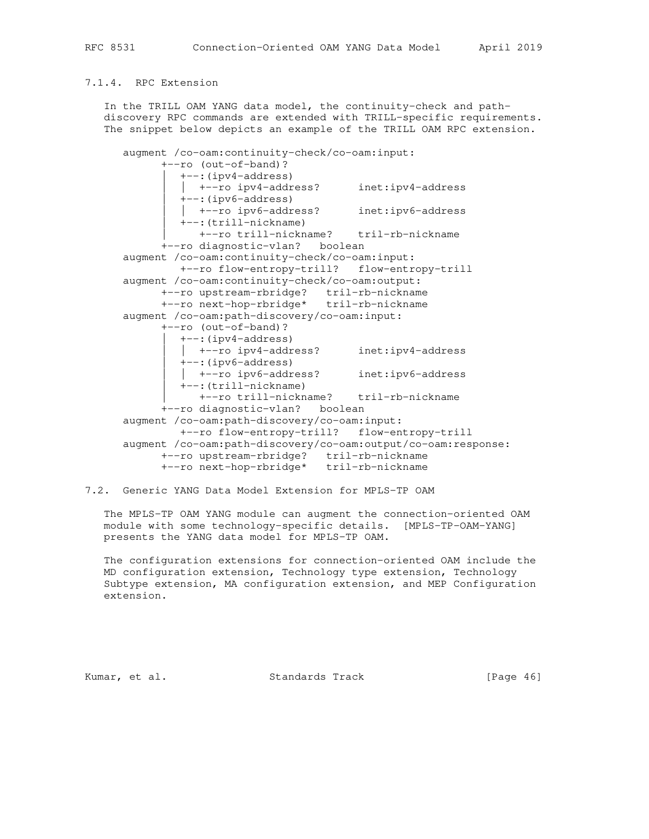# 7.1.4. RPC Extension

 In the TRILL OAM YANG data model, the continuity-check and path discovery RPC commands are extended with TRILL-specific requirements. The snippet below depicts an example of the TRILL OAM RPC extension.

```
 augment /co-oam:continuity-check/co-oam:input:
            +--ro (out-of-band)?
              | +--:(ipv4-address)
               | | +--ro ipv4-address? inet:ipv4-address
              | +--:(ipv6-address)
              | | +--ro ipv6-address? inet:ipv6-address
              | +--:(trill-nickname)
                 | +--ro trill-nickname? tril-rb-nickname
            +--ro diagnostic-vlan? boolean
      augment /co-oam:continuity-check/co-oam:input:
               +--ro flow-entropy-trill? flow-entropy-trill
      augment /co-oam:continuity-check/co-oam:output:
            +--ro upstream-rbridge? tril-rb-nickname
            +--ro next-hop-rbridge* tril-rb-nickname
      augment /co-oam:path-discovery/co-oam:input:
            +--ro (out-of-band)?
               | +--:(ipv4-address)
               | | +--ro ipv4-address? inet:ipv4-address
               | +--:(ipv6-address)
              | +--ro ipv6-address? inet:ipv6-address
               | +--:(trill-nickname)
                 | +--ro trill-nickname? tril-rb-nickname
            +--ro diagnostic-vlan? boolean
      augment /co-oam:path-discovery/co-oam:input:
               +--ro flow-entropy-trill? flow-entropy-trill
      augment /co-oam:path-discovery/co-oam:output/co-oam:response:
 +--ro upstream-rbridge? tril-rb-nickname
 +--ro next-hop-rbridge* tril-rb-nickname
```
#### 7.2. Generic YANG Data Model Extension for MPLS-TP OAM

 The MPLS-TP OAM YANG module can augment the connection-oriented OAM module with some technology-specific details. [MPLS-TP-OAM-YANG] presents the YANG data model for MPLS-TP OAM.

 The configuration extensions for connection-oriented OAM include the MD configuration extension, Technology type extension, Technology Subtype extension, MA configuration extension, and MEP Configuration extension.

Kumar, et al. Standards Track [Page 46]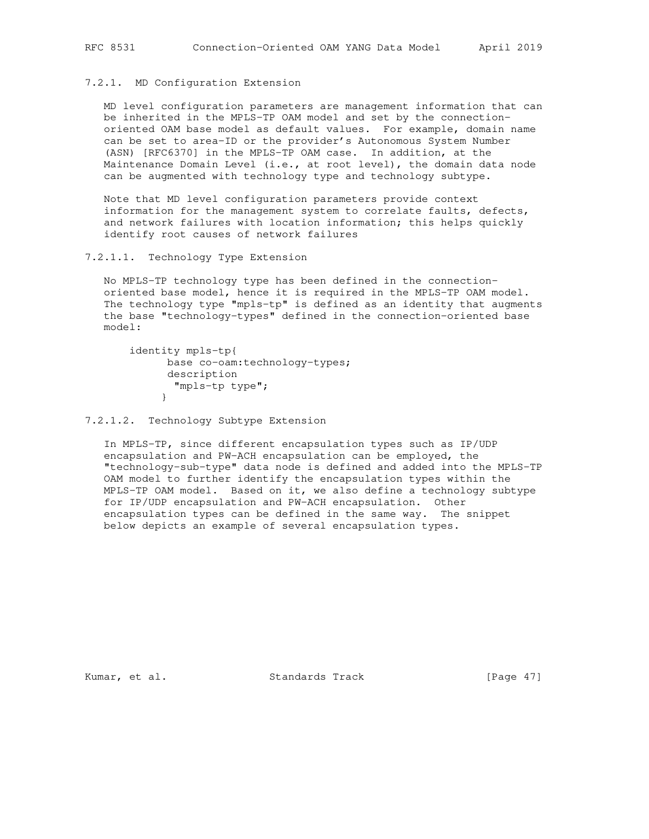#### 7.2.1. MD Configuration Extension

 MD level configuration parameters are management information that can be inherited in the MPLS-TP OAM model and set by the connection oriented OAM base model as default values. For example, domain name can be set to area-ID or the provider's Autonomous System Number (ASN) [RFC6370] in the MPLS-TP OAM case. In addition, at the Maintenance Domain Level (i.e., at root level), the domain data node can be augmented with technology type and technology subtype.

 Note that MD level configuration parameters provide context information for the management system to correlate faults, defects, and network failures with location information; this helps quickly identify root causes of network failures

7.2.1.1. Technology Type Extension

 No MPLS-TP technology type has been defined in the connection oriented base model, hence it is required in the MPLS-TP OAM model. The technology type "mpls-tp" is defined as an identity that augments the base "technology-types" defined in the connection-oriented base model:

```
 identity mpls-tp{
            base co-oam:technology-types;
            description
             "mpls-tp type";
 }
```
7.2.1.2. Technology Subtype Extension

 In MPLS-TP, since different encapsulation types such as IP/UDP encapsulation and PW-ACH encapsulation can be employed, the "technology-sub-type" data node is defined and added into the MPLS-TP OAM model to further identify the encapsulation types within the MPLS-TP OAM model. Based on it, we also define a technology subtype for IP/UDP encapsulation and PW-ACH encapsulation. Other encapsulation types can be defined in the same way. The snippet below depicts an example of several encapsulation types.

Kumar, et al. Standards Track [Page 47]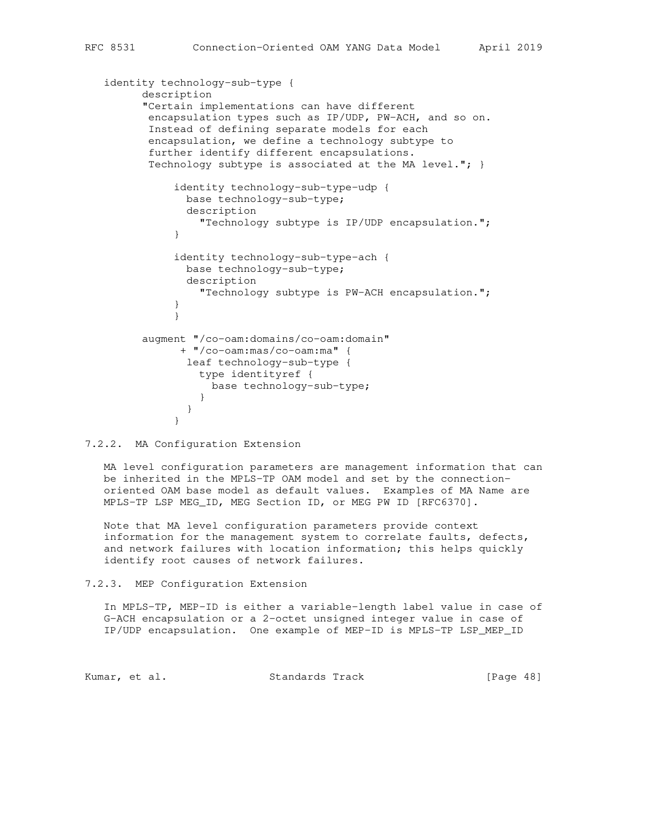```
 identity technology-sub-type {
         description
         "Certain implementations can have different
          encapsulation types such as IP/UDP, PW-ACH, and so on.
          Instead of defining separate models for each
          encapsulation, we define a technology subtype to
          further identify different encapsulations.
          Technology subtype is associated at the MA level."; }
             identity technology-sub-type-udp {
               base technology-sub-type;
               description
                 "Technology subtype is IP/UDP encapsulation.";
 }
             identity technology-sub-type-ach {
               base technology-sub-type;
               description
                 "Technology subtype is PW-ACH encapsulation.";
 }
 }
         augment "/co-oam:domains/co-oam:domain"
              + "/co-oam:mas/co-oam:ma" {
               leaf technology-sub-type {
                 type identityref {
                   base technology-sub-type;
 }
 }
 }
```
7.2.2. MA Configuration Extension

 MA level configuration parameters are management information that can be inherited in the MPLS-TP OAM model and set by the connection oriented OAM base model as default values. Examples of MA Name are MPLS-TP LSP MEG\_ID, MEG Section ID, or MEG PW ID [RFC6370].

 Note that MA level configuration parameters provide context information for the management system to correlate faults, defects, and network failures with location information; this helps quickly identify root causes of network failures.

```
7.2.3. MEP Configuration Extension
```
 In MPLS-TP, MEP-ID is either a variable-length label value in case of G-ACH encapsulation or a 2-octet unsigned integer value in case of IP/UDP encapsulation. One example of MEP-ID is MPLS-TP LSP\_MEP\_ID

Kumar, et al. Standards Track [Page 48]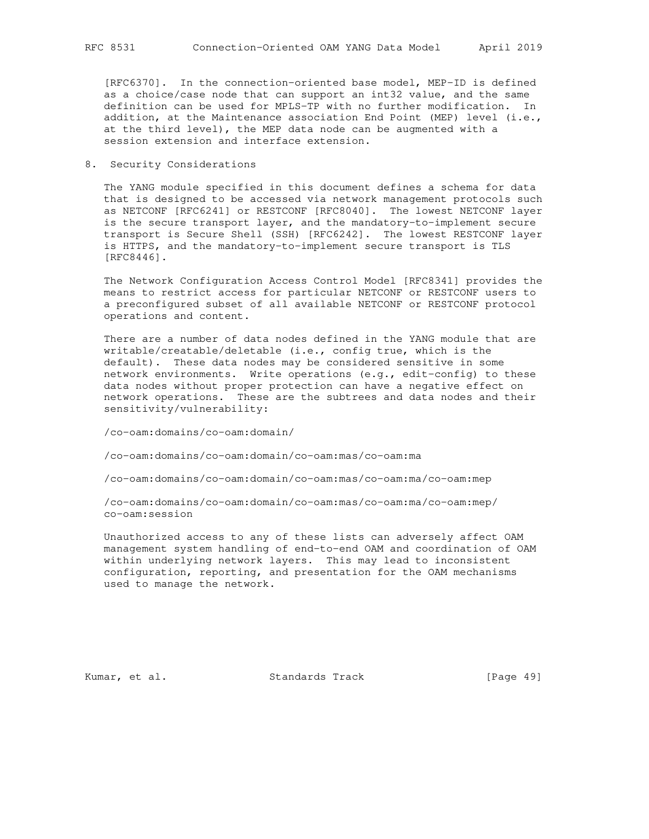[RFC6370]. In the connection-oriented base model, MEP-ID is defined as a choice/case node that can support an int32 value, and the same definition can be used for MPLS-TP with no further modification. In addition, at the Maintenance association End Point (MEP) level (i.e., at the third level), the MEP data node can be augmented with a session extension and interface extension.

8. Security Considerations

 The YANG module specified in this document defines a schema for data that is designed to be accessed via network management protocols such as NETCONF [RFC6241] or RESTCONF [RFC8040]. The lowest NETCONF layer is the secure transport layer, and the mandatory-to-implement secure transport is Secure Shell (SSH) [RFC6242]. The lowest RESTCONF layer is HTTPS, and the mandatory-to-implement secure transport is TLS [RFC8446].

 The Network Configuration Access Control Model [RFC8341] provides the means to restrict access for particular NETCONF or RESTCONF users to a preconfigured subset of all available NETCONF or RESTCONF protocol operations and content.

 There are a number of data nodes defined in the YANG module that are writable/creatable/deletable (i.e., config true, which is the default). These data nodes may be considered sensitive in some network environments. Write operations (e.g., edit-config) to these data nodes without proper protection can have a negative effect on network operations. These are the subtrees and data nodes and their sensitivity/vulnerability:

/co-oam:domains/co-oam:domain/

/co-oam:domains/co-oam:domain/co-oam:mas/co-oam:ma

/co-oam:domains/co-oam:domain/co-oam:mas/co-oam:ma/co-oam:mep

 /co-oam:domains/co-oam:domain/co-oam:mas/co-oam:ma/co-oam:mep/ co-oam:session

 Unauthorized access to any of these lists can adversely affect OAM management system handling of end-to-end OAM and coordination of OAM within underlying network layers. This may lead to inconsistent configuration, reporting, and presentation for the OAM mechanisms used to manage the network.

Kumar, et al. Standards Track [Page 49]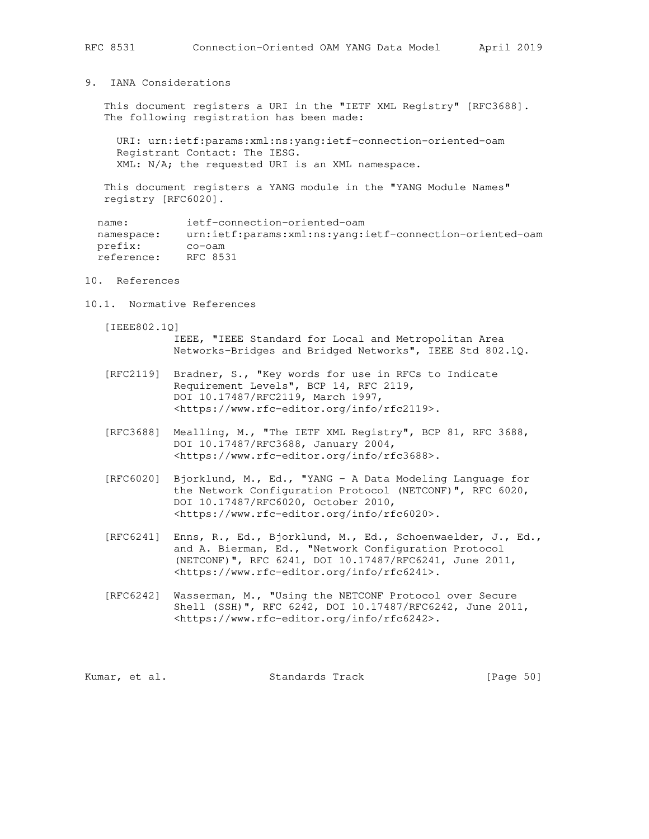# 9. IANA Considerations

 This document registers a URI in the "IETF XML Registry" [RFC3688]. The following registration has been made:

 URI: urn:ietf:params:xml:ns:yang:ietf-connection-oriented-oam Registrant Contact: The IESG. XML: N/A; the requested URI is an XML namespace.

 This document registers a YANG module in the "YANG Module Names" registry [RFC6020].

 name: ietf-connection-oriented-oam namespace: urn:ietf:params:xml:ns:yang:ietf-connection-oriented-oam prefix: co-oam .<br>reference: RFC 8531

## 10. References

10.1. Normative References

[IEEE802.1Q]

 IEEE, "IEEE Standard for Local and Metropolitan Area Networks-Bridges and Bridged Networks", IEEE Std 802.1Q.

- [RFC2119] Bradner, S., "Key words for use in RFCs to Indicate Requirement Levels", BCP 14, RFC 2119, DOI 10.17487/RFC2119, March 1997, <https://www.rfc-editor.org/info/rfc2119>.
- [RFC3688] Mealling, M., "The IETF XML Registry", BCP 81, RFC 3688, DOI 10.17487/RFC3688, January 2004, <https://www.rfc-editor.org/info/rfc3688>.
- [RFC6020] Bjorklund, M., Ed., "YANG A Data Modeling Language for the Network Configuration Protocol (NETCONF)", RFC 6020, DOI 10.17487/RFC6020, October 2010, <https://www.rfc-editor.org/info/rfc6020>.
- [RFC6241] Enns, R., Ed., Bjorklund, M., Ed., Schoenwaelder, J., Ed., and A. Bierman, Ed., "Network Configuration Protocol (NETCONF)", RFC 6241, DOI 10.17487/RFC6241, June 2011, <https://www.rfc-editor.org/info/rfc6241>.
- [RFC6242] Wasserman, M., "Using the NETCONF Protocol over Secure Shell (SSH)", RFC 6242, DOI 10.17487/RFC6242, June 2011, <https://www.rfc-editor.org/info/rfc6242>.

Kumar, et al. Standards Track [Page 50]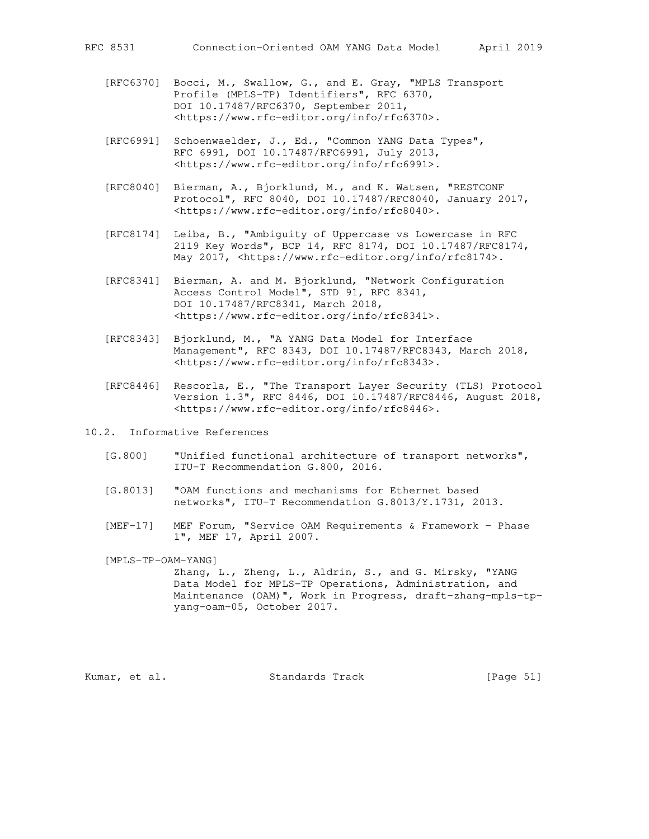- [RFC6370] Bocci, M., Swallow, G., and E. Gray, "MPLS Transport Profile (MPLS-TP) Identifiers", RFC 6370, DOI 10.17487/RFC6370, September 2011, <https://www.rfc-editor.org/info/rfc6370>.
- [RFC6991] Schoenwaelder, J., Ed., "Common YANG Data Types", RFC 6991, DOI 10.17487/RFC6991, July 2013, <https://www.rfc-editor.org/info/rfc6991>.
- [RFC8040] Bierman, A., Bjorklund, M., and K. Watsen, "RESTCONF Protocol", RFC 8040, DOI 10.17487/RFC8040, January 2017, <https://www.rfc-editor.org/info/rfc8040>.
- [RFC8174] Leiba, B., "Ambiguity of Uppercase vs Lowercase in RFC 2119 Key Words", BCP 14, RFC 8174, DOI 10.17487/RFC8174, May 2017, <https://www.rfc-editor.org/info/rfc8174>.
- [RFC8341] Bierman, A. and M. Bjorklund, "Network Configuration Access Control Model", STD 91, RFC 8341, DOI 10.17487/RFC8341, March 2018, <https://www.rfc-editor.org/info/rfc8341>.
- [RFC8343] Bjorklund, M., "A YANG Data Model for Interface Management", RFC 8343, DOI 10.17487/RFC8343, March 2018, <https://www.rfc-editor.org/info/rfc8343>.
- [RFC8446] Rescorla, E., "The Transport Layer Security (TLS) Protocol Version 1.3", RFC 8446, DOI 10.17487/RFC8446, August 2018, <https://www.rfc-editor.org/info/rfc8446>.

10.2. Informative References

- [G.800] "Unified functional architecture of transport networks", ITU-T Recommendation G.800, 2016.
- [G.8013] "OAM functions and mechanisms for Ethernet based networks", ITU-T Recommendation G.8013/Y.1731, 2013.
- [MEF-17] MEF Forum, "Service OAM Requirements & Framework Phase 1", MEF 17, April 2007.

 [MPLS-TP-OAM-YANG] Zhang, L., Zheng, L., Aldrin, S., and G. Mirsky, "YANG Data Model for MPLS-TP Operations, Administration, and Maintenance (OAM)", Work in Progress, draft-zhang-mpls-tp yang-oam-05, October 2017.

Kumar, et al. Standards Track [Page 51]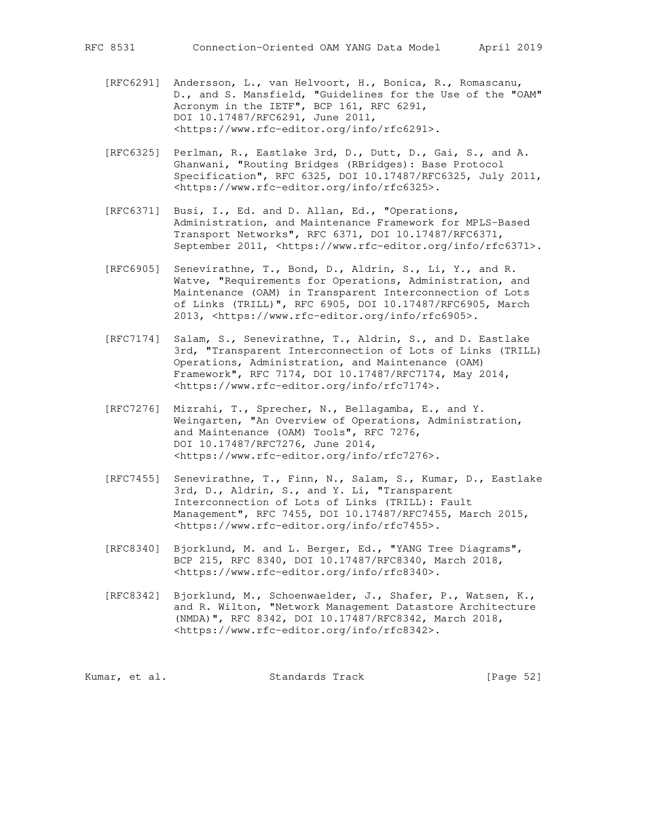- [RFC6291] Andersson, L., van Helvoort, H., Bonica, R., Romascanu, D., and S. Mansfield, "Guidelines for the Use of the "OAM" Acronym in the IETF", BCP 161, RFC 6291, DOI 10.17487/RFC6291, June 2011, <https://www.rfc-editor.org/info/rfc6291>.
- [RFC6325] Perlman, R., Eastlake 3rd, D., Dutt, D., Gai, S., and A. Ghanwani, "Routing Bridges (RBridges): Base Protocol Specification", RFC 6325, DOI 10.17487/RFC6325, July 2011, <https://www.rfc-editor.org/info/rfc6325>.
- [RFC6371] Busi, I., Ed. and D. Allan, Ed., "Operations, Administration, and Maintenance Framework for MPLS-Based Transport Networks", RFC 6371, DOI 10.17487/RFC6371, September 2011, <https://www.rfc-editor.org/info/rfc6371>.
- [RFC6905] Senevirathne, T., Bond, D., Aldrin, S., Li, Y., and R. Watve, "Requirements for Operations, Administration, and Maintenance (OAM) in Transparent Interconnection of Lots of Links (TRILL)", RFC 6905, DOI 10.17487/RFC6905, March 2013, <https://www.rfc-editor.org/info/rfc6905>.
- [RFC7174] Salam, S., Senevirathne, T., Aldrin, S., and D. Eastlake 3rd, "Transparent Interconnection of Lots of Links (TRILL) Operations, Administration, and Maintenance (OAM) Framework", RFC 7174, DOI 10.17487/RFC7174, May 2014, <https://www.rfc-editor.org/info/rfc7174>.
- [RFC7276] Mizrahi, T., Sprecher, N., Bellagamba, E., and Y. Weingarten, "An Overview of Operations, Administration, and Maintenance (OAM) Tools", RFC 7276, DOI 10.17487/RFC7276, June 2014, <https://www.rfc-editor.org/info/rfc7276>.
- [RFC7455] Senevirathne, T., Finn, N., Salam, S., Kumar, D., Eastlake 3rd, D., Aldrin, S., and Y. Li, "Transparent Interconnection of Lots of Links (TRILL): Fault Management", RFC 7455, DOI 10.17487/RFC7455, March 2015, <https://www.rfc-editor.org/info/rfc7455>.
- [RFC8340] Bjorklund, M. and L. Berger, Ed., "YANG Tree Diagrams", BCP 215, RFC 8340, DOI 10.17487/RFC8340, March 2018, <https://www.rfc-editor.org/info/rfc8340>.
- [RFC8342] Bjorklund, M., Schoenwaelder, J., Shafer, P., Watsen, K., and R. Wilton, "Network Management Datastore Architecture (NMDA)", RFC 8342, DOI 10.17487/RFC8342, March 2018, <https://www.rfc-editor.org/info/rfc8342>.

| Standards Track<br>Kumar, et al. | [Page 52] |  |
|----------------------------------|-----------|--|
|----------------------------------|-----------|--|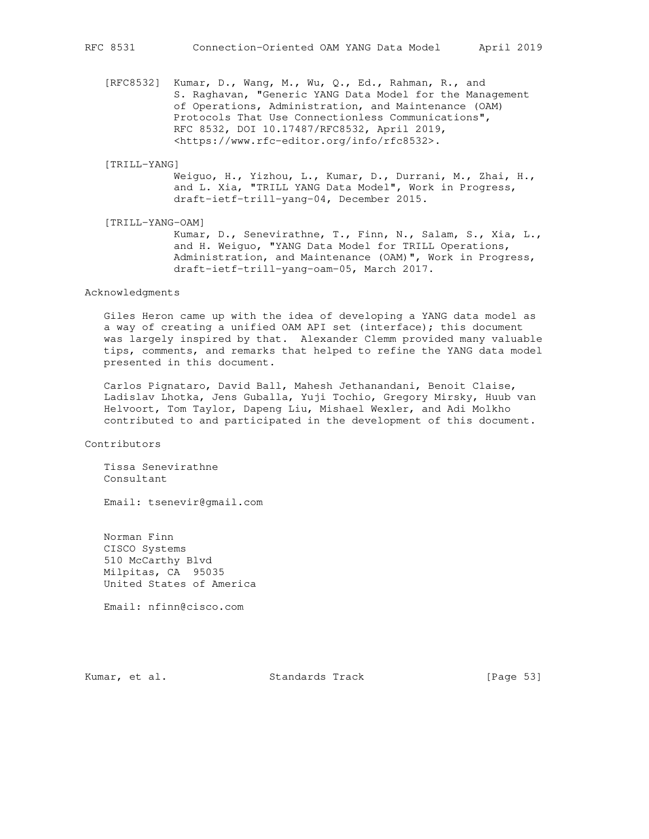[RFC8532] Kumar, D., Wang, M., Wu, Q., Ed., Rahman, R., and S. Raghavan, "Generic YANG Data Model for the Management of Operations, Administration, and Maintenance (OAM) Protocols That Use Connectionless Communications", RFC 8532, DOI 10.17487/RFC8532, April 2019, <https://www.rfc-editor.org/info/rfc8532>.

#### [TRILL-YANG]

 Weiguo, H., Yizhou, L., Kumar, D., Durrani, M., Zhai, H., and L. Xia, "TRILL YANG Data Model", Work in Progress, draft-ietf-trill-yang-04, December 2015.

#### [TRILL-YANG-OAM]

 Kumar, D., Senevirathne, T., Finn, N., Salam, S., Xia, L., and H. Weiguo, "YANG Data Model for TRILL Operations, Administration, and Maintenance (OAM)", Work in Progress, draft-ietf-trill-yang-oam-05, March 2017.

#### Acknowledgments

 Giles Heron came up with the idea of developing a YANG data model as a way of creating a unified OAM API set (interface); this document was largely inspired by that. Alexander Clemm provided many valuable tips, comments, and remarks that helped to refine the YANG data model presented in this document.

 Carlos Pignataro, David Ball, Mahesh Jethanandani, Benoit Claise, Ladislav Lhotka, Jens Guballa, Yuji Tochio, Gregory Mirsky, Huub van Helvoort, Tom Taylor, Dapeng Liu, Mishael Wexler, and Adi Molkho contributed to and participated in the development of this document.

Contributors

 Tissa Senevirathne Consultant

Email: tsenevir@gmail.com

 Norman Finn CISCO Systems 510 McCarthy Blvd Milpitas, CA 95035 United States of America

Email: nfinn@cisco.com

Kumar, et al. Standards Track [Page 53]